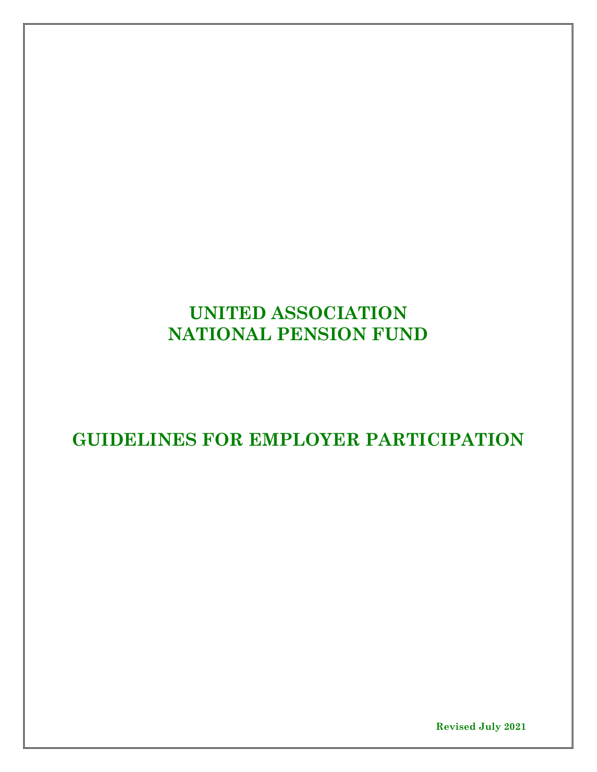# **UNITED ASSOCIATION NATIONAL PENSION FUND**

**GUIDELINES FOR EMPLOYER PARTICIPATION**

**Revised July 2021**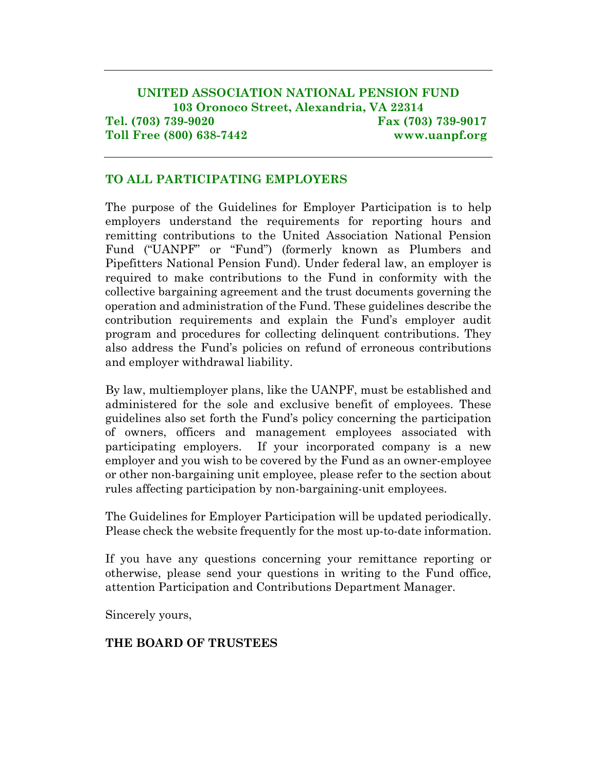# **UNITED ASSOCIATION NATIONAL PENSION FUND 103 Oronoco Street, Alexandria, VA 22314 Tel. (703) 739-9020 Fax (703) 739-9017 Toll Free (800) 638-7442 www.uanpf.org**

#### **TO ALL PARTICIPATING EMPLOYERS**

The purpose of the Guidelines for Employer Participation is to help employers understand the requirements for reporting hours and remitting contributions to the United Association National Pension Fund ("UANPF" or "Fund") (formerly known as Plumbers and Pipefitters National Pension Fund). Under federal law, an employer is required to make contributions to the Fund in conformity with the collective bargaining agreement and the trust documents governing the operation and administration of the Fund. These guidelines describe the contribution requirements and explain the Fund's employer audit program and procedures for collecting delinquent contributions. They also address the Fund's policies on refund of erroneous contributions and employer withdrawal liability.

By law, multiemployer plans, like the UANPF, must be established and administered for the sole and exclusive benefit of employees. These guidelines also set forth the Fund's policy concerning the participation of owners, officers and management employees associated with participating employers. If your incorporated company is a new employer and you wish to be covered by the Fund as an owner-employee or other non-bargaining unit employee, please refer to the section about rules affecting participation by non-bargaining-unit employees.

The Guidelines for Employer Participation will be updated periodically. Please check the website frequently for the most up-to-date information.

If you have any questions concerning your remittance reporting or otherwise, please send your questions in writing to the Fund office, attention Participation and Contributions Department Manager.

Sincerely yours,

#### **THE BOARD OF TRUSTEES**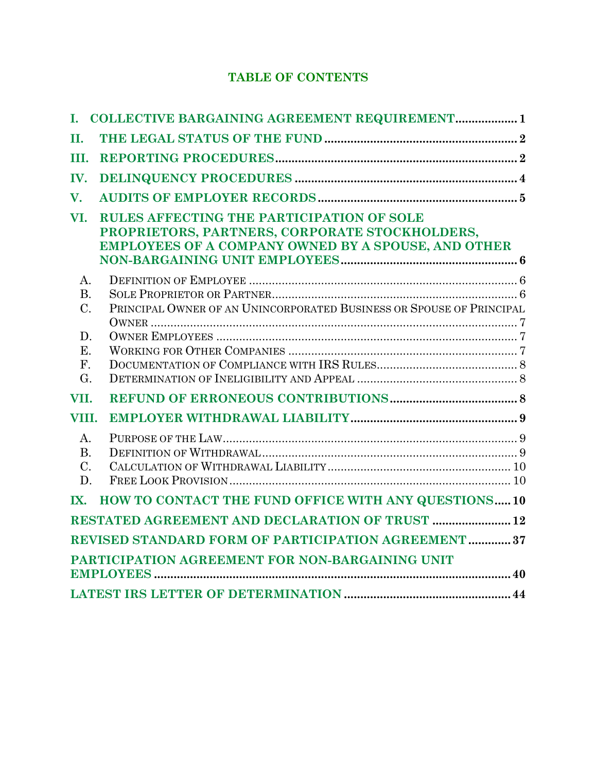# **TABLE OF CONTENTS**

| I.                                                  | <b>COLLECTIVE BARGAINING AGREEMENT REQUIREMENT 1</b>                                                                                               |  |  |  |  |
|-----------------------------------------------------|----------------------------------------------------------------------------------------------------------------------------------------------------|--|--|--|--|
| Π.                                                  |                                                                                                                                                    |  |  |  |  |
| III.                                                |                                                                                                                                                    |  |  |  |  |
| IV.                                                 |                                                                                                                                                    |  |  |  |  |
| V.                                                  |                                                                                                                                                    |  |  |  |  |
| VI.                                                 | RULES AFFECTING THE PARTICIPATION OF SOLE<br>PROPRIETORS, PARTNERS, CORPORATE STOCKHOLDERS,<br>EMPLOYEES OF A COMPANY OWNED BY A SPOUSE, AND OTHER |  |  |  |  |
| $\mathbf{A}$ .                                      |                                                                                                                                                    |  |  |  |  |
| <b>B.</b>                                           |                                                                                                                                                    |  |  |  |  |
| $C$ .                                               | PRINCIPAL OWNER OF AN UNINCORPORATED BUSINESS OR SPOUSE OF PRINCIPAL                                                                               |  |  |  |  |
| D.                                                  |                                                                                                                                                    |  |  |  |  |
| E.                                                  |                                                                                                                                                    |  |  |  |  |
| $F_{\cdot}$                                         |                                                                                                                                                    |  |  |  |  |
| G <sub>r</sub>                                      |                                                                                                                                                    |  |  |  |  |
| VII.                                                |                                                                                                                                                    |  |  |  |  |
| VIII.                                               |                                                                                                                                                    |  |  |  |  |
| $\mathbf{A}$ .                                      |                                                                                                                                                    |  |  |  |  |
| <b>B.</b>                                           |                                                                                                                                                    |  |  |  |  |
| $C$ .                                               |                                                                                                                                                    |  |  |  |  |
| D.                                                  |                                                                                                                                                    |  |  |  |  |
| IX.                                                 | HOW TO CONTACT THE FUND OFFICE WITH ANY QUESTIONS 10                                                                                               |  |  |  |  |
|                                                     | RESTATED AGREEMENT AND DECLARATION OF TRUST  12                                                                                                    |  |  |  |  |
| REVISED STANDARD FORM OF PARTICIPATION AGREEMENT 37 |                                                                                                                                                    |  |  |  |  |
| PARTICIPATION AGREEMENT FOR NON-BARGAINING UNIT     |                                                                                                                                                    |  |  |  |  |
|                                                     |                                                                                                                                                    |  |  |  |  |
|                                                     |                                                                                                                                                    |  |  |  |  |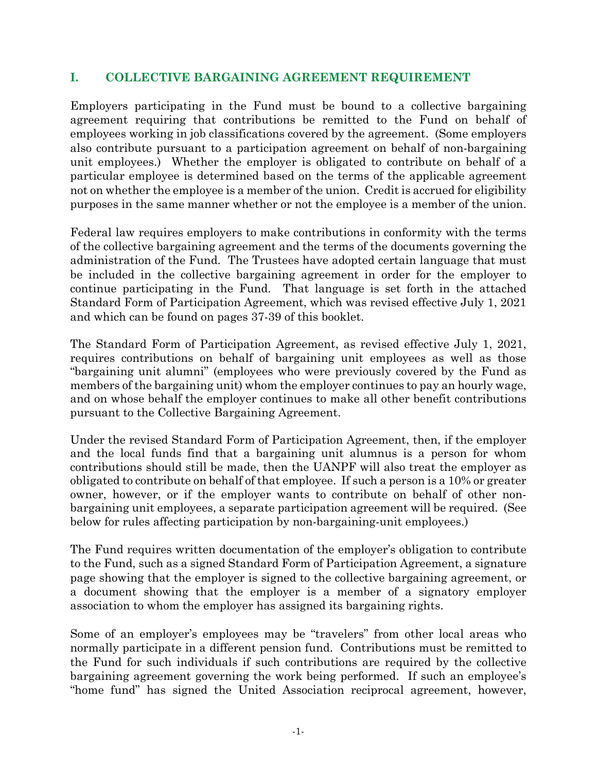#### **I. COLLECTIVE BARGAINING AGREEMENT REQUIREMENT**

Employers participating in the Fund must be bound to a collective bargaining agreement requiring that contributions be remitted to the Fund on behalf of employees working in job classifications covered by the agreement. (Some employers also contribute pursuant to a participation agreement on behalf of non-bargaining unit employees.) Whether the employer is obligated to contribute on behalf of a particular employee is determined based on the terms of the applicable agreement not on whether the employee is a member of the union. Credit is accrued for eligibility purposes in the same manner whether or not the employee is a member of the union.

Federal law requires employers to make contributions in conformity with the terms of the collective bargaining agreement and the terms of the documents governing the administration of the Fund. The Trustees have adopted certain language that must be included in the collective bargaining agreement in order for the employer to continue participating in the Fund. That language is set forth in the attached Standard Form of Participation Agreement, which was revised effective July 1, 2021 and which can be found on pages 37-39 of this booklet.

The Standard Form of Participation Agreement, as revised effective July 1, 2021, requires contributions on behalf of bargaining unit employees as well as those "bargaining unit alumni" (employees who were previously covered by the Fund as members of the bargaining unit) whom the employer continues to pay an hourly wage, and on whose behalf the employer continues to make all other benefit contributions pursuant to the Collective Bargaining Agreement.

Under the revised Standard Form of Participation Agreement, then, if the employer and the local funds find that a bargaining unit alumnus is a person for whom contributions should still be made, then the UANPF will also treat the employer as obligated to contribute on behalf of that employee. If such a person is a 10% or greater owner, however, or if the employer wants to contribute on behalf of other nonbargaining unit employees, a separate participation agreement will be required. (See below for rules affecting participation by non-bargaining-unit employees.)

The Fund requires written documentation of the employer's obligation to contribute to the Fund, such as a signed Standard Form of Participation Agreement, a signature page showing that the employer is signed to the collective bargaining agreement, or a document showing that the employer is a member of a signatory employer association to whom the employer has assigned its bargaining rights.

Some of an employer's employees may be "travelers" from other local areas who normally participate in a different pension fund. Contributions must be remitted to the Fund for such individuals if such contributions are required by the collective bargaining agreement governing the work being performed. If such an employee's "home fund" has signed the United Association reciprocal agreement, however,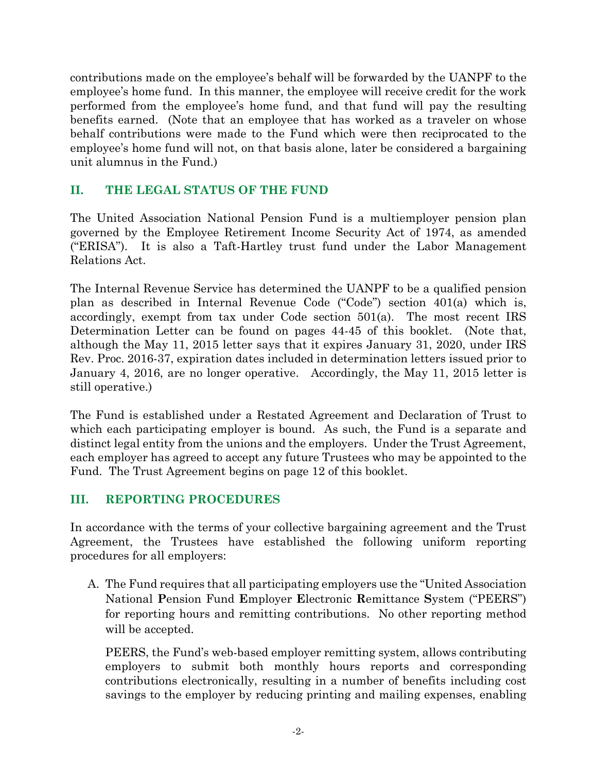contributions made on the employee's behalf will be forwarded by the UANPF to the employee's home fund. In this manner, the employee will receive credit for the work performed from the employee's home fund, and that fund will pay the resulting benefits earned. (Note that an employee that has worked as a traveler on whose behalf contributions were made to the Fund which were then reciprocated to the employee's home fund will not, on that basis alone, later be considered a bargaining unit alumnus in the Fund.)

# **II. THE LEGAL STATUS OF THE FUND**

The United Association National Pension Fund is a multiemployer pension plan governed by the Employee Retirement Income Security Act of 1974, as amended ("ERISA"). It is also a Taft-Hartley trust fund under the Labor Management Relations Act.

The Internal Revenue Service has determined the UANPF to be a qualified pension plan as described in Internal Revenue Code ("Code") section 401(a) which is, accordingly, exempt from tax under Code section 501(a). The most recent IRS Determination Letter can be found on pages 44-45 of this booklet. (Note that, although the May 11, 2015 letter says that it expires January 31, 2020, under IRS Rev. Proc. 2016-37, expiration dates included in determination letters issued prior to January 4, 2016, are no longer operative. Accordingly, the May 11, 2015 letter is still operative.)

The Fund is established under a Restated Agreement and Declaration of Trust to which each participating employer is bound. As such, the Fund is a separate and distinct legal entity from the unions and the employers. Under the Trust Agreement, each employer has agreed to accept any future Trustees who may be appointed to the Fund. The Trust Agreement begins on page 12 of this booklet.

# **III. REPORTING PROCEDURES**

In accordance with the terms of your collective bargaining agreement and the Trust Agreement, the Trustees have established the following uniform reporting procedures for all employers:

A. The Fund requires that all participating employers use the "United Association National **P**ension Fund **E**mployer **E**lectronic **R**emittance **S**ystem ("PEERS") for reporting hours and remitting contributions. No other reporting method will be accepted.

PEERS, the Fund's web-based employer remitting system, allows contributing employers to submit both monthly hours reports and corresponding contributions electronically, resulting in a number of benefits including cost savings to the employer by reducing printing and mailing expenses, enabling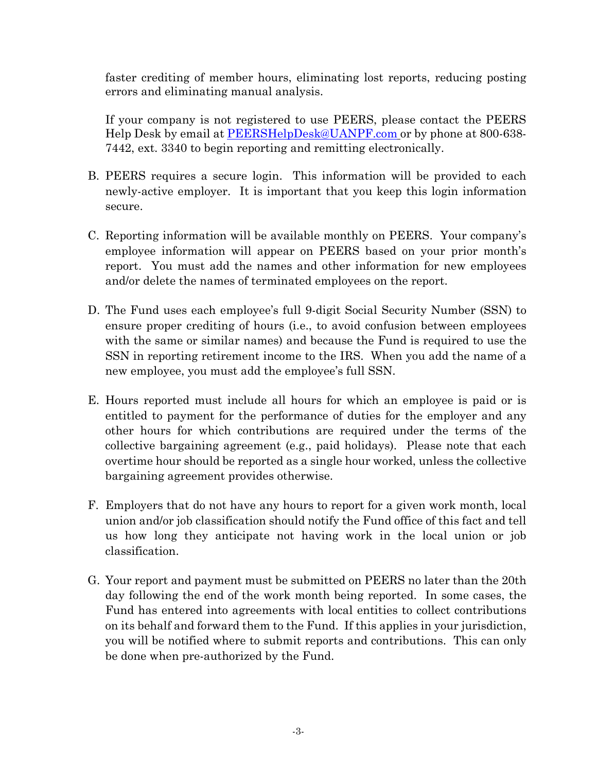faster crediting of member hours, eliminating lost reports, reducing posting errors and eliminating manual analysis.

If your company is not registered to use PEERS, please contact the PEERS Help Desk by email at [PEERSHelpDesk@UANPF.com](mailto:PEERSHelpDesk@ppnpf.com) or by phone at 800-638- 7442, ext. 3340 to begin reporting and remitting electronically.

- B. PEERS requires a secure login. This information will be provided to each newly-active employer. It is important that you keep this login information secure.
- C. Reporting information will be available monthly on PEERS. Your company's employee information will appear on PEERS based on your prior month's report. You must add the names and other information for new employees and/or delete the names of terminated employees on the report.
- D. The Fund uses each employee's full 9-digit Social Security Number (SSN) to ensure proper crediting of hours (i.e., to avoid confusion between employees with the same or similar names) and because the Fund is required to use the SSN in reporting retirement income to the IRS. When you add the name of a new employee, you must add the employee's full SSN.
- E. Hours reported must include all hours for which an employee is paid or is entitled to payment for the performance of duties for the employer and any other hours for which contributions are required under the terms of the collective bargaining agreement (e.g., paid holidays). Please note that each overtime hour should be reported as a single hour worked, unless the collective bargaining agreement provides otherwise.
- F. Employers that do not have any hours to report for a given work month, local union and/or job classification should notify the Fund office of this fact and tell us how long they anticipate not having work in the local union or job classification.
- G. Your report and payment must be submitted on PEERS no later than the 20th day following the end of the work month being reported. In some cases, the Fund has entered into agreements with local entities to collect contributions on its behalf and forward them to the Fund. If this applies in your jurisdiction, you will be notified where to submit reports and contributions. This can only be done when pre-authorized by the Fund.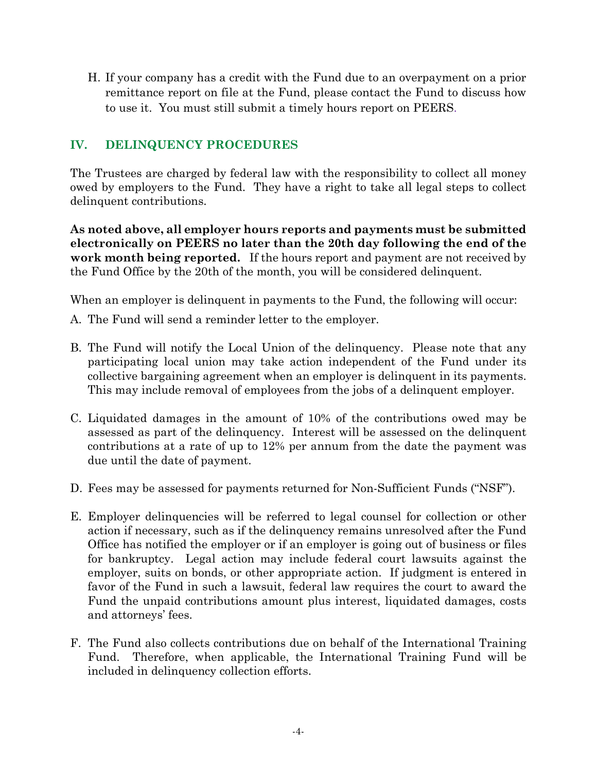H. If your company has a credit with the Fund due to an overpayment on a prior remittance report on file at the Fund, please contact the Fund to discuss how to use it. You must still submit a timely hours report on PEERS.

# **IV. DELINQUENCY PROCEDURES**

The Trustees are charged by federal law with the responsibility to collect all money owed by employers to the Fund. They have a right to take all legal steps to collect delinquent contributions.

**As noted above, all employer hours reports and payments must be submitted electronically on PEERS no later than the 20th day following the end of the work month being reported.** If the hours report and payment are not received by the Fund Office by the 20th of the month, you will be considered delinquent.

When an employer is delinquent in payments to the Fund, the following will occur:

- A. The Fund will send a reminder letter to the employer.
- B. The Fund will notify the Local Union of the delinquency. Please note that any participating local union may take action independent of the Fund under its collective bargaining agreement when an employer is delinquent in its payments. This may include removal of employees from the jobs of a delinquent employer.
- C. Liquidated damages in the amount of 10% of the contributions owed may be assessed as part of the delinquency. Interest will be assessed on the delinquent contributions at a rate of up to 12% per annum from the date the payment was due until the date of payment.
- D. Fees may be assessed for payments returned for Non-Sufficient Funds ("NSF").
- E. Employer delinquencies will be referred to legal counsel for collection or other action if necessary, such as if the delinquency remains unresolved after the Fund Office has notified the employer or if an employer is going out of business or files for bankruptcy. Legal action may include federal court lawsuits against the employer, suits on bonds, or other appropriate action. If judgment is entered in favor of the Fund in such a lawsuit, federal law requires the court to award the Fund the unpaid contributions amount plus interest, liquidated damages, costs and attorneys' fees.
- F. The Fund also collects contributions due on behalf of the International Training Fund. Therefore, when applicable, the International Training Fund will be included in delinquency collection efforts.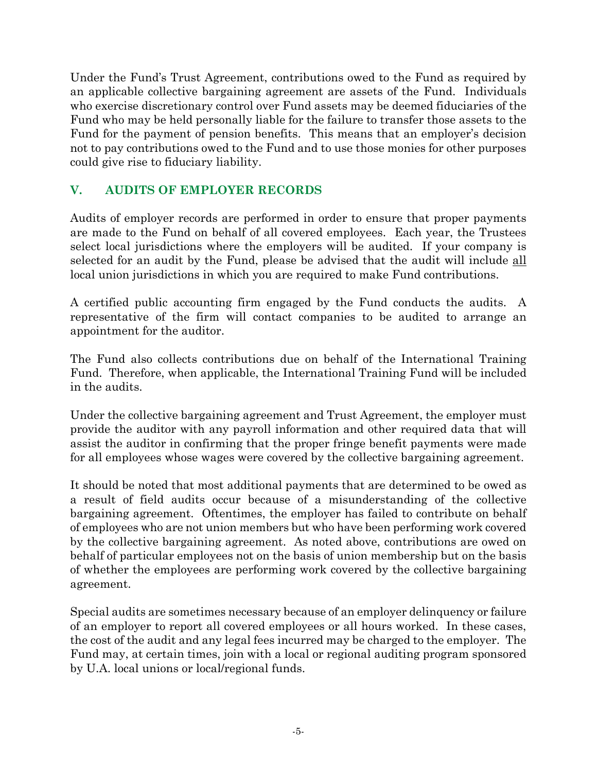Under the Fund's Trust Agreement, contributions owed to the Fund as required by an applicable collective bargaining agreement are assets of the Fund. Individuals who exercise discretionary control over Fund assets may be deemed fiduciaries of the Fund who may be held personally liable for the failure to transfer those assets to the Fund for the payment of pension benefits. This means that an employer's decision not to pay contributions owed to the Fund and to use those monies for other purposes could give rise to fiduciary liability.

# **V. AUDITS OF EMPLOYER RECORDS**

Audits of employer records are performed in order to ensure that proper payments are made to the Fund on behalf of all covered employees. Each year, the Trustees select local jurisdictions where the employers will be audited. If your company is selected for an audit by the Fund, please be advised that the audit will include all local union jurisdictions in which you are required to make Fund contributions.

A certified public accounting firm engaged by the Fund conducts the audits. A representative of the firm will contact companies to be audited to arrange an appointment for the auditor.

The Fund also collects contributions due on behalf of the International Training Fund. Therefore, when applicable, the International Training Fund will be included in the audits.

Under the collective bargaining agreement and Trust Agreement, the employer must provide the auditor with any payroll information and other required data that will assist the auditor in confirming that the proper fringe benefit payments were made for all employees whose wages were covered by the collective bargaining agreement.

It should be noted that most additional payments that are determined to be owed as a result of field audits occur because of a misunderstanding of the collective bargaining agreement. Oftentimes, the employer has failed to contribute on behalf of employees who are not union members but who have been performing work covered by the collective bargaining agreement. As noted above, contributions are owed on behalf of particular employees not on the basis of union membership but on the basis of whether the employees are performing work covered by the collective bargaining agreement.

Special audits are sometimes necessary because of an employer delinquency or failure of an employer to report all covered employees or all hours worked. In these cases, the cost of the audit and any legal fees incurred may be charged to the employer. The Fund may, at certain times, join with a local or regional auditing program sponsored by U.A. local unions or local/regional funds.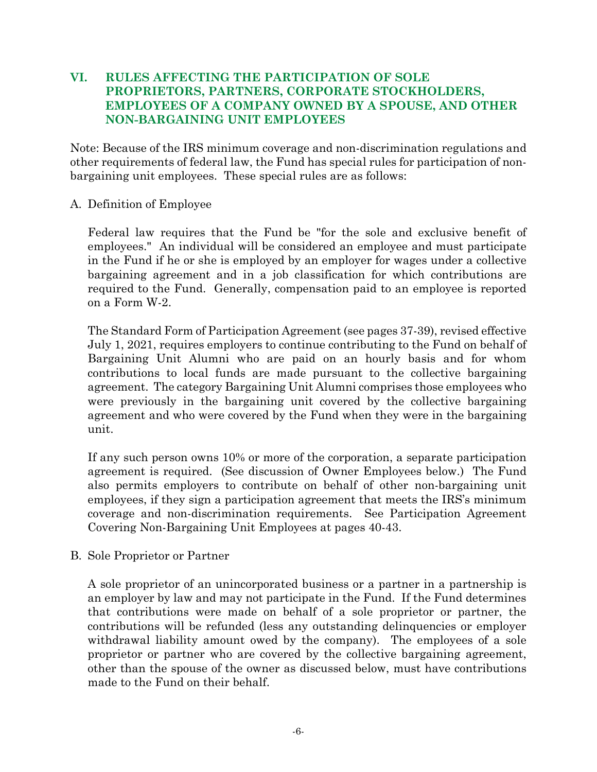#### **VI. RULES AFFECTING THE PARTICIPATION OF SOLE PROPRIETORS, PARTNERS, CORPORATE STOCKHOLDERS, EMPLOYEES OF A COMPANY OWNED BY A SPOUSE, AND OTHER NON-BARGAINING UNIT EMPLOYEES**

Note: Because of the IRS minimum coverage and non-discrimination regulations and other requirements of federal law, the Fund has special rules for participation of nonbargaining unit employees. These special rules are as follows:

#### A. Definition of Employee

Federal law requires that the Fund be "for the sole and exclusive benefit of employees." An individual will be considered an employee and must participate in the Fund if he or she is employed by an employer for wages under a collective bargaining agreement and in a job classification for which contributions are required to the Fund. Generally, compensation paid to an employee is reported on a Form W-2.

The Standard Form of Participation Agreement (see pages 37-39), revised effective July 1, 2021, requires employers to continue contributing to the Fund on behalf of Bargaining Unit Alumni who are paid on an hourly basis and for whom contributions to local funds are made pursuant to the collective bargaining agreement. The category Bargaining Unit Alumni comprises those employees who were previously in the bargaining unit covered by the collective bargaining agreement and who were covered by the Fund when they were in the bargaining unit.

If any such person owns 10% or more of the corporation, a separate participation agreement is required. (See discussion of Owner Employees below.) The Fund also permits employers to contribute on behalf of other non-bargaining unit employees, if they sign a participation agreement that meets the IRS's minimum coverage and non-discrimination requirements. See Participation Agreement Covering Non-Bargaining Unit Employees at pages 40-43.

B. Sole Proprietor or Partner

A sole proprietor of an unincorporated business or a partner in a partnership is an employer by law and may not participate in the Fund. If the Fund determines that contributions were made on behalf of a sole proprietor or partner, the contributions will be refunded (less any outstanding delinquencies or employer withdrawal liability amount owed by the company). The employees of a sole proprietor or partner who are covered by the collective bargaining agreement, other than the spouse of the owner as discussed below, must have contributions made to the Fund on their behalf.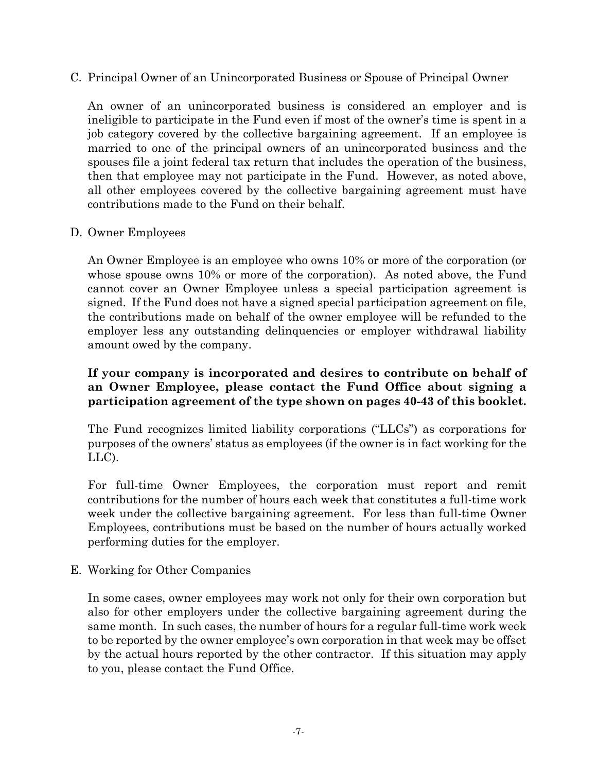C. Principal Owner of an Unincorporated Business or Spouse of Principal Owner

An owner of an unincorporated business is considered an employer and is ineligible to participate in the Fund even if most of the owner's time is spent in a job category covered by the collective bargaining agreement. If an employee is married to one of the principal owners of an unincorporated business and the spouses file a joint federal tax return that includes the operation of the business, then that employee may not participate in the Fund. However, as noted above, all other employees covered by the collective bargaining agreement must have contributions made to the Fund on their behalf.

#### D. Owner Employees

An Owner Employee is an employee who owns 10% or more of the corporation (or whose spouse owns 10% or more of the corporation). As noted above, the Fund cannot cover an Owner Employee unless a special participation agreement is signed. If the Fund does not have a signed special participation agreement on file, the contributions made on behalf of the owner employee will be refunded to the employer less any outstanding delinquencies or employer withdrawal liability amount owed by the company.

#### **If your company is incorporated and desires to contribute on behalf of an Owner Employee, please contact the Fund Office about signing a participation agreement of the type shown on pages 40-43 of this booklet.**

The Fund recognizes limited liability corporations ("LLCs") as corporations for purposes of the owners' status as employees (if the owner is in fact working for the LLC).

For full-time Owner Employees, the corporation must report and remit contributions for the number of hours each week that constitutes a full-time work week under the collective bargaining agreement. For less than full-time Owner Employees, contributions must be based on the number of hours actually worked performing duties for the employer.

### E. Working for Other Companies

In some cases, owner employees may work not only for their own corporation but also for other employers under the collective bargaining agreement during the same month. In such cases, the number of hours for a regular full-time work week to be reported by the owner employee's own corporation in that week may be offset by the actual hours reported by the other contractor. If this situation may apply to you, please contact the Fund Office.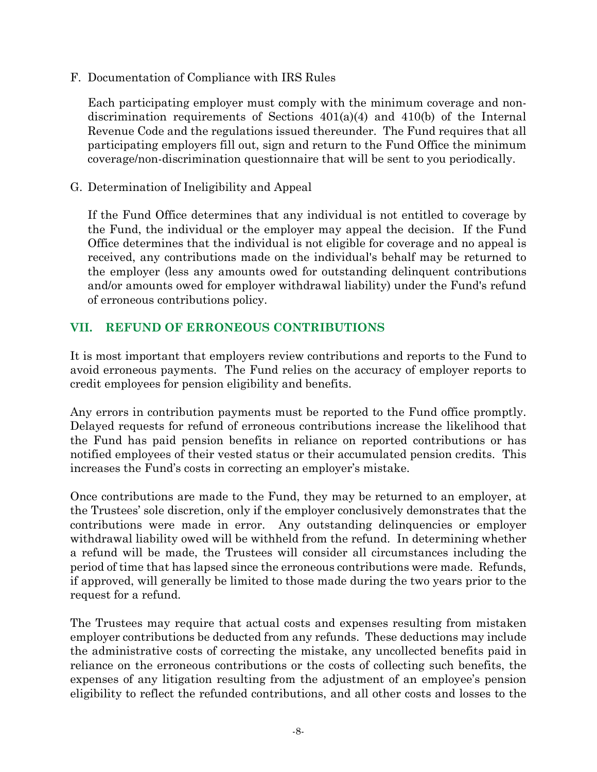F. Documentation of Compliance with IRS Rules

Each participating employer must comply with the minimum coverage and nondiscrimination requirements of Sections 401(a)(4) and 410(b) of the Internal Revenue Code and the regulations issued thereunder. The Fund requires that all participating employers fill out, sign and return to the Fund Office the minimum coverage/non-discrimination questionnaire that will be sent to you periodically.

G. Determination of Ineligibility and Appeal

If the Fund Office determines that any individual is not entitled to coverage by the Fund, the individual or the employer may appeal the decision. If the Fund Office determines that the individual is not eligible for coverage and no appeal is received, any contributions made on the individual's behalf may be returned to the employer (less any amounts owed for outstanding delinquent contributions and/or amounts owed for employer withdrawal liability) under the Fund's refund of erroneous contributions policy.

# **VII. REFUND OF ERRONEOUS CONTRIBUTIONS**

It is most important that employers review contributions and reports to the Fund to avoid erroneous payments. The Fund relies on the accuracy of employer reports to credit employees for pension eligibility and benefits.

Any errors in contribution payments must be reported to the Fund office promptly. Delayed requests for refund of erroneous contributions increase the likelihood that the Fund has paid pension benefits in reliance on reported contributions or has notified employees of their vested status or their accumulated pension credits. This increases the Fund's costs in correcting an employer's mistake.

Once contributions are made to the Fund, they may be returned to an employer, at the Trustees' sole discretion, only if the employer conclusively demonstrates that the contributions were made in error. Any outstanding delinquencies or employer withdrawal liability owed will be withheld from the refund. In determining whether a refund will be made, the Trustees will consider all circumstances including the period of time that has lapsed since the erroneous contributions were made. Refunds, if approved, will generally be limited to those made during the two years prior to the request for a refund.

The Trustees may require that actual costs and expenses resulting from mistaken employer contributions be deducted from any refunds. These deductions may include the administrative costs of correcting the mistake, any uncollected benefits paid in reliance on the erroneous contributions or the costs of collecting such benefits, the expenses of any litigation resulting from the adjustment of an employee's pension eligibility to reflect the refunded contributions, and all other costs and losses to the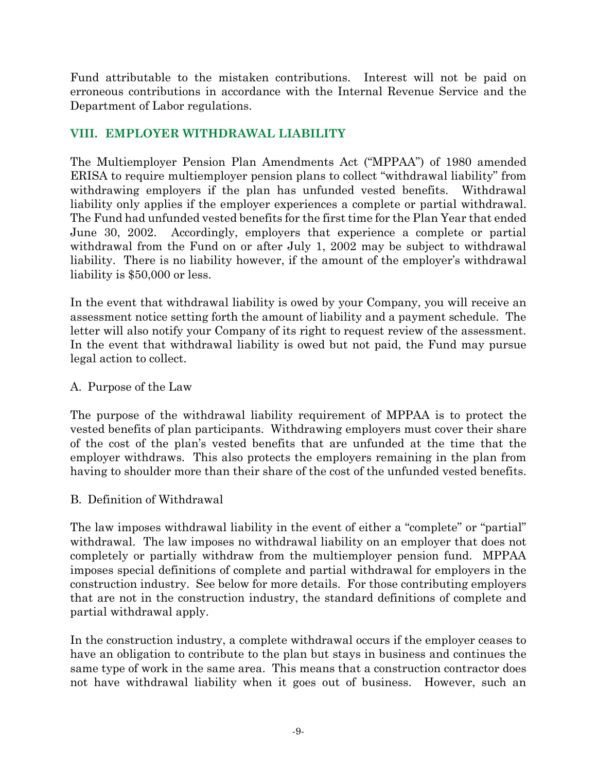Fund attributable to the mistaken contributions. Interest will not be paid on erroneous contributions in accordance with the Internal Revenue Service and the Department of Labor regulations.

# **VIII. EMPLOYER WITHDRAWAL LIABILITY**

The Multiemployer Pension Plan Amendments Act ("MPPAA") of 1980 amended ERISA to require multiemployer pension plans to collect "withdrawal liability" from withdrawing employers if the plan has unfunded vested benefits. Withdrawal liability only applies if the employer experiences a complete or partial withdrawal. The Fund had unfunded vested benefits for the first time for the Plan Year that ended June 30, 2002. Accordingly, employers that experience a complete or partial withdrawal from the Fund on or after July 1, 2002 may be subject to withdrawal liability. There is no liability however, if the amount of the employer's withdrawal liability is \$50,000 or less.

In the event that withdrawal liability is owed by your Company, you will receive an assessment notice setting forth the amount of liability and a payment schedule. The letter will also notify your Company of its right to request review of the assessment. In the event that withdrawal liability is owed but not paid, the Fund may pursue legal action to collect.

#### A. Purpose of the Law

The purpose of the withdrawal liability requirement of MPPAA is to protect the vested benefits of plan participants. Withdrawing employers must cover their share of the cost of the plan's vested benefits that are unfunded at the time that the employer withdraws. This also protects the employers remaining in the plan from having to shoulder more than their share of the cost of the unfunded vested benefits.

#### B. Definition of Withdrawal

The law imposes withdrawal liability in the event of either a "complete" or "partial" withdrawal. The law imposes no withdrawal liability on an employer that does not completely or partially withdraw from the multiemployer pension fund. MPPAA imposes special definitions of complete and partial withdrawal for employers in the construction industry. See below for more details. For those contributing employers that are not in the construction industry, the standard definitions of complete and partial withdrawal apply.

In the construction industry, a complete withdrawal occurs if the employer ceases to have an obligation to contribute to the plan but stays in business and continues the same type of work in the same area. This means that a construction contractor does not have withdrawal liability when it goes out of business. However, such an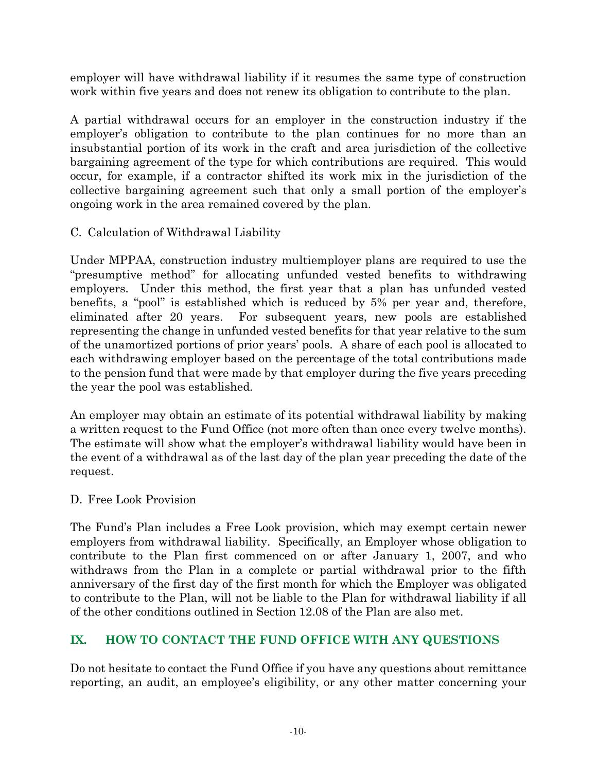employer will have withdrawal liability if it resumes the same type of construction work within five years and does not renew its obligation to contribute to the plan.

A partial withdrawal occurs for an employer in the construction industry if the employer's obligation to contribute to the plan continues for no more than an insubstantial portion of its work in the craft and area jurisdiction of the collective bargaining agreement of the type for which contributions are required. This would occur, for example, if a contractor shifted its work mix in the jurisdiction of the collective bargaining agreement such that only a small portion of the employer's ongoing work in the area remained covered by the plan.

### C. Calculation of Withdrawal Liability

Under MPPAA, construction industry multiemployer plans are required to use the "presumptive method" for allocating unfunded vested benefits to withdrawing employers. Under this method, the first year that a plan has unfunded vested benefits, a "pool" is established which is reduced by 5% per year and, therefore, eliminated after 20 years. For subsequent years, new pools are established representing the change in unfunded vested benefits for that year relative to the sum of the unamortized portions of prior years' pools. A share of each pool is allocated to each withdrawing employer based on the percentage of the total contributions made to the pension fund that were made by that employer during the five years preceding the year the pool was established.

An employer may obtain an estimate of its potential withdrawal liability by making a written request to the Fund Office (not more often than once every twelve months). The estimate will show what the employer's withdrawal liability would have been in the event of a withdrawal as of the last day of the plan year preceding the date of the request.

### D. Free Look Provision

The Fund's Plan includes a Free Look provision, which may exempt certain newer employers from withdrawal liability. Specifically, an Employer whose obligation to contribute to the Plan first commenced on or after January 1, 2007, and who withdraws from the Plan in a complete or partial withdrawal prior to the fifth anniversary of the first day of the first month for which the Employer was obligated to contribute to the Plan, will not be liable to the Plan for withdrawal liability if all of the other conditions outlined in Section 12.08 of the Plan are also met.

# **IX. HOW TO CONTACT THE FUND OFFICE WITH ANY QUESTIONS**

Do not hesitate to contact the Fund Office if you have any questions about remittance reporting, an audit, an employee's eligibility, or any other matter concerning your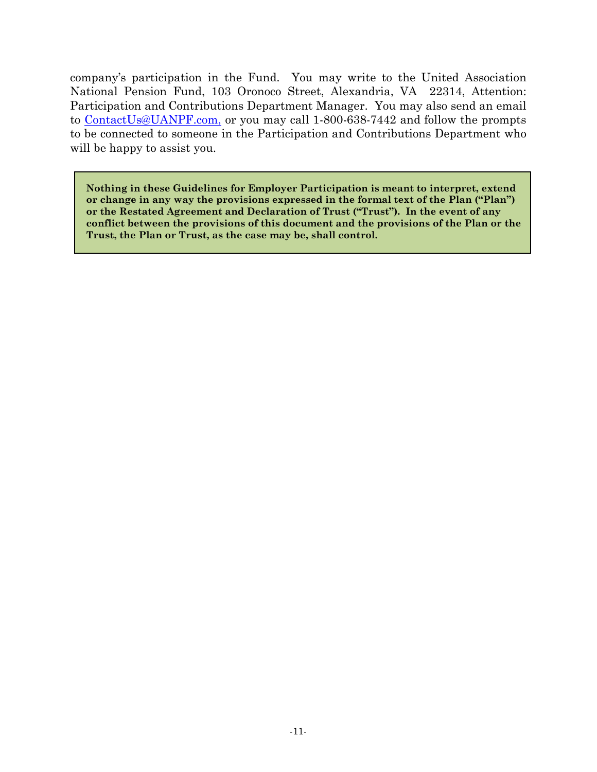company's participation in the Fund. You may write to the United Association National Pension Fund, 103 Oronoco Street, Alexandria, VA 22314, Attention: Participation and Contributions Department Manager. You may also send an email to [ContactUs@UANPF.com,](mailto:ContactUs@ppnpf.com) or you may call 1-800-638-7442 and follow the prompts to be connected to someone in the Participation and Contributions Department who will be happy to assist you.

**Nothing in these Guidelines for Employer Participation is meant to interpret, extend or change in any way the provisions expressed in the formal text of the Plan ("Plan") or the Restated Agreement and Declaration of Trust ("Trust"). In the event of any conflict between the provisions of this document and the provisions of the Plan or the Trust, the Plan or Trust, as the case may be, shall control.**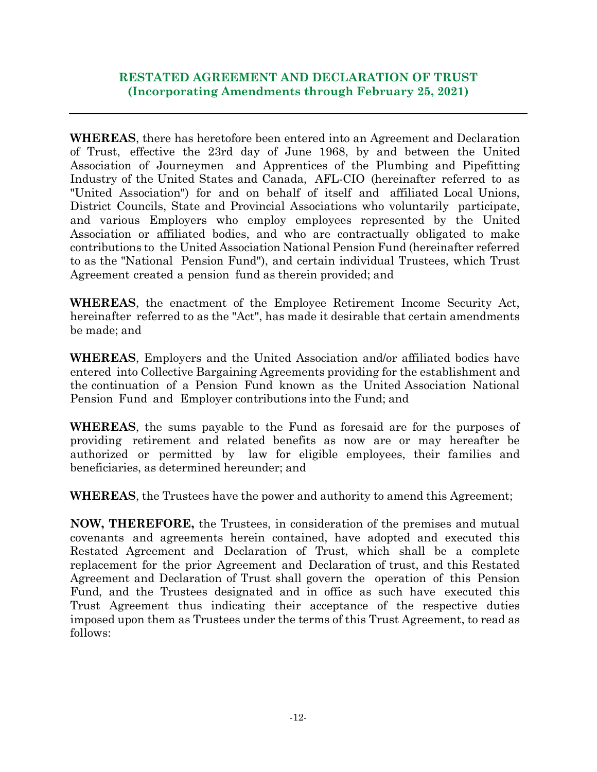#### **RESTATED AGREEMENT AND DECLARATION OF TRUST (Incorporating Amendments through February 25, 2021)**

**WHEREAS**, there has heretofore been entered into an Agreement and Declaration of Trust, effective the 23rd day of June 1968, by and between the United Association of Journeymen and Apprentices of the Plumbing and Pipefitting Industry of the United States and Canada, AFL-CIO (hereinafter referred to as "United Association") for and on behalf of itself and affiliated Local Unions, District Councils, State and Provincial Associations who voluntarily participate, and various Employers who employ employees represented by the United Association or affiliated bodies, and who are contractually obligated to make contributions to the United Association National Pension Fund (hereinafter referred to as the "National Pension Fund"), and certain individual Trustees, which Trust Agreement created a pension fund as therein provided; and

**WHEREAS**, the enactment of the Employee Retirement Income Security Act, hereinafter referred to as the "Act", has made it desirable that certain amendments be made; and

**WHEREAS**, Employers and the United Association and/or affiliated bodies have entered into Collective Bargaining Agreements providing for the establishment and the continuation of a Pension Fund known as the United Association National Pension Fund and Employer contributions into the Fund; and

**WHEREAS**, the sums payable to the Fund as foresaid are for the purposes of providing retirement and related benefits as now are or may hereafter be authorized or permitted by law for eligible employees, their families and beneficiaries, as determined hereunder; and

**WHEREAS**, the Trustees have the power and authority to amend this Agreement;

**NOW, THEREFORE,** the Trustees, in consideration of the premises and mutual covenants and agreements herein contained, have adopted and executed this Restated Agreement and Declaration of Trust, which shall be a complete replacement for the prior Agreement and Declaration of trust, and this Restated Agreement and Declaration of Trust shall govern the operation of this Pension Fund, and the Trustees designated and in office as such have executed this Trust Agreement thus indicating their acceptance of the respective duties imposed upon them as Trustees under the terms of this Trust Agreement, to read as follows: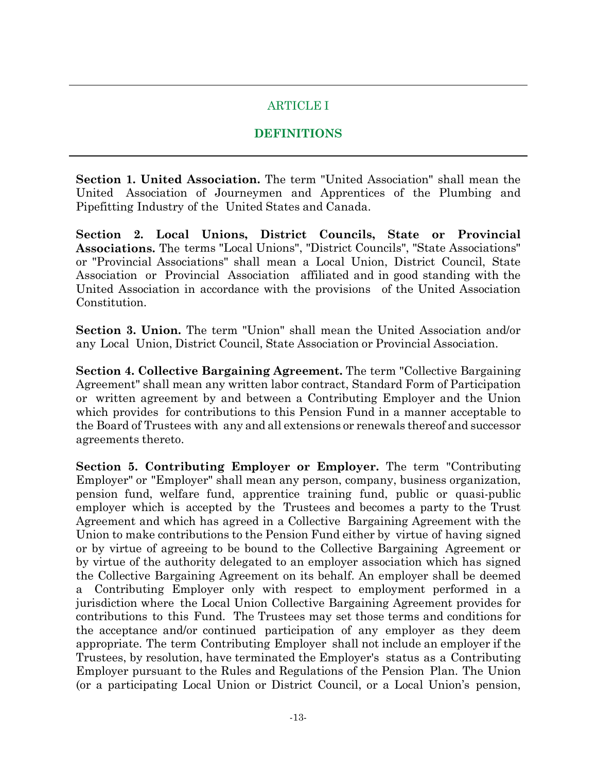# ARTICLE I

### **DEFINITIONS**

**Section 1. United Association.** The term "United Association" shall mean the United Association of Journeymen and Apprentices of the Plumbing and Pipefitting Industry of the United States and Canada.

**Section 2. Local Unions, District Councils, State or Provincial Associations.** The terms "Local Unions", "District Councils", "State Associations" or "Provincial Associations" shall mean a Local Union, District Council, State Association or Provincial Association affiliated and in good standing with the United Association in accordance with the provisions of the United Association Constitution.

**Section 3. Union.** The term "Union" shall mean the United Association and/or any Local Union, District Council, State Association or Provincial Association.

**Section 4. Collective Bargaining Agreement.** The term "Collective Bargaining Agreement" shall mean any written labor contract, Standard Form of Participation or written agreement by and between a Contributing Employer and the Union which provides for contributions to this Pension Fund in a manner acceptable to the Board of Trustees with any and all extensions or renewals thereof and successor agreements thereto.

**Section 5. Contributing Employer or Employer.** The term "Contributing Employer" or "Employer" shall mean any person, company, business organization, pension fund, welfare fund, apprentice training fund, public or quasi-public employer which is accepted by the Trustees and becomes a party to the Trust Agreement and which has agreed in a Collective Bargaining Agreement with the Union to make contributions to the Pension Fund either by virtue of having signed or by virtue of agreeing to be bound to the Collective Bargaining Agreement or by virtue of the authority delegated to an employer association which has signed the Collective Bargaining Agreement on its behalf. An employer shall be deemed a Contributing Employer only with respect to employment performed in a jurisdiction where the Local Union Collective Bargaining Agreement provides for contributions to this Fund. The Trustees may set those terms and conditions for the acceptance and/or continued participation of any employer as they deem appropriate. The term Contributing Employer shall not include an employer if the Trustees, by resolution, have terminated the Employer's status as a Contributing Employer pursuant to the Rules and Regulations of the Pension Plan. The Union (or a participating Local Union or District Council, or a Local Union's pension,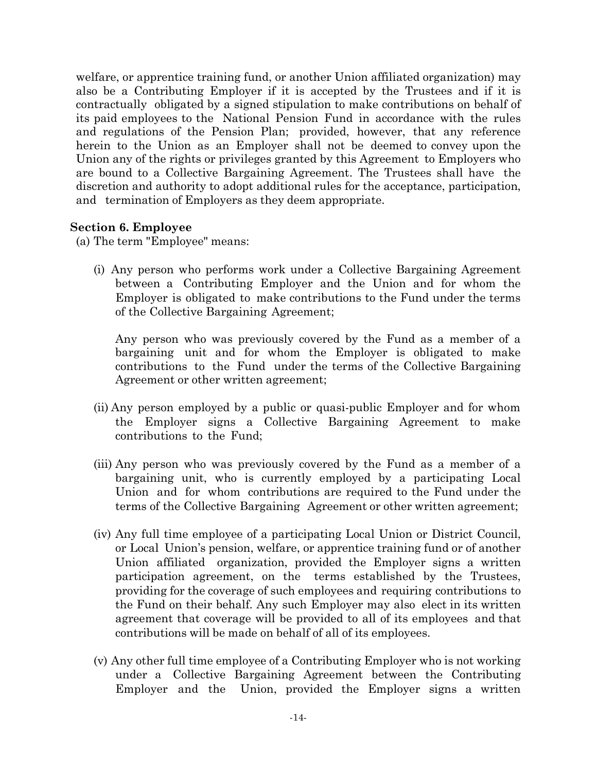welfare, or apprentice training fund, or another Union affiliated organization) may also be a Contributing Employer if it is accepted by the Trustees and if it is contractually obligated by a signed stipulation to make contributions on behalf of its paid employees to the National Pension Fund in accordance with the rules and regulations of the Pension Plan; provided, however, that any reference herein to the Union as an Employer shall not be deemed to convey upon the Union any of the rights or privileges granted by this Agreement to Employers who are bound to a Collective Bargaining Agreement. The Trustees shall have the discretion and authority to adopt additional rules for the acceptance, participation, and termination of Employers as they deem appropriate.

#### **Section 6. Employee**

(a) The term "Employee" means:

(i) Any person who performs work under a Collective Bargaining Agreement between a Contributing Employer and the Union and for whom the Employer is obligated to make contributions to the Fund under the terms of the Collective Bargaining Agreement;

Any person who was previously covered by the Fund as a member of a bargaining unit and for whom the Employer is obligated to make contributions to the Fund under the terms of the Collective Bargaining Agreement or other written agreement;

- (ii) Any person employed by a public or quasi-public Employer and for whom the Employer signs a Collective Bargaining Agreement to make contributions to the Fund;
- (iii) Any person who was previously covered by the Fund as a member of a bargaining unit, who is currently employed by a participating Local Union and for whom contributions are required to the Fund under the terms of the Collective Bargaining Agreement or other written agreement;
- (iv) Any full time employee of a participating Local Union or District Council, or Local Union's pension, welfare, or apprentice training fund or of another Union affiliated organization, provided the Employer signs a written participation agreement, on the terms established by the Trustees, providing for the coverage of such employees and requiring contributions to the Fund on their behalf. Any such Employer may also elect in its written agreement that coverage will be provided to all of its employees and that contributions will be made on behalf of all of its employees.
- (v) Any other full time employee of a Contributing Employer who is not working under a Collective Bargaining Agreement between the Contributing Employer and the Union, provided the Employer signs a written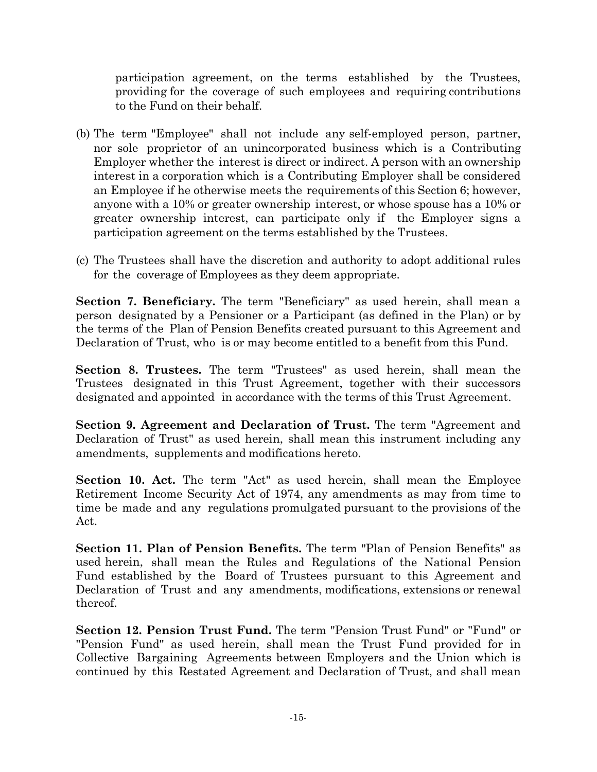participation agreement, on the terms established by the Trustees, providing for the coverage of such employees and requiring contributions to the Fund on their behalf.

- (b) The term "Employee" shall not include any self-employed person, partner, nor sole proprietor of an unincorporated business which is a Contributing Employer whether the interest is direct or indirect. A person with an ownership interest in a corporation which is a Contributing Employer shall be considered an Employee if he otherwise meets the requirements of this Section 6; however, anyone with a 10% or greater ownership interest, or whose spouse has a 10% or greater ownership interest, can participate only if the Employer signs a participation agreement on the terms established by the Trustees.
- (c) The Trustees shall have the discretion and authority to adopt additional rules for the coverage of Employees as they deem appropriate.

**Section 7. Beneficiary.** The term "Beneficiary" as used herein, shall mean a person designated by a Pensioner or a Participant (as defined in the Plan) or by the terms of the Plan of Pension Benefits created pursuant to this Agreement and Declaration of Trust, who is or may become entitled to a benefit from this Fund.

**Section 8. Trustees.** The term "Trustees" as used herein, shall mean the Trustees designated in this Trust Agreement, together with their successors designated and appointed in accordance with the terms of this Trust Agreement.

**Section 9. Agreement and Declaration of Trust.** The term "Agreement and Declaration of Trust" as used herein, shall mean this instrument including any amendments, supplements and modifications hereto.

**Section 10. Act.** The term "Act" as used herein, shall mean the Employee Retirement Income Security Act of 1974, any amendments as may from time to time be made and any regulations promulgated pursuant to the provisions of the Act.

**Section 11. Plan of Pension Benefits.** The term "Plan of Pension Benefits" as used herein, shall mean the Rules and Regulations of the National Pension Fund established by the Board of Trustees pursuant to this Agreement and Declaration of Trust and any amendments, modifications, extensions or renewal thereof.

**Section 12. Pension Trust Fund.** The term "Pension Trust Fund" or "Fund" or "Pension Fund" as used herein, shall mean the Trust Fund provided for in Collective Bargaining Agreements between Employers and the Union which is continued by this Restated Agreement and Declaration of Trust, and shall mean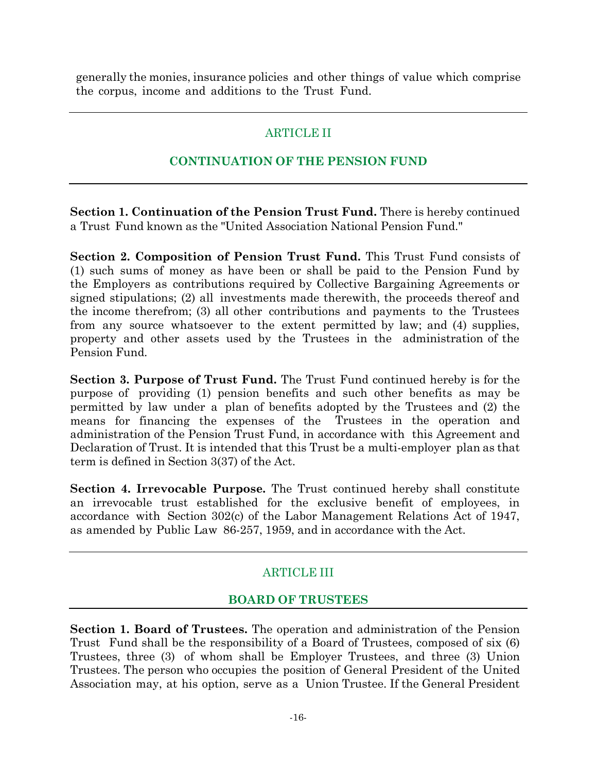generally the monies, insurance policies and other things of value which comprise the corpus, income and additions to the Trust Fund.

# ARTICLE II

### **CONTINUATION OF THE PENSION FUND**

**Section 1. Continuation of the Pension Trust Fund.** There is hereby continued a Trust Fund known as the "United Association National Pension Fund."

**Section 2. Composition of Pension Trust Fund.** This Trust Fund consists of (1) such sums of money as have been or shall be paid to the Pension Fund by the Employers as contributions required by Collective Bargaining Agreements or signed stipulations; (2) all investments made therewith, the proceeds thereof and the income therefrom; (3) all other contributions and payments to the Trustees from any source whatsoever to the extent permitted by law; and (4) supplies, property and other assets used by the Trustees in the administration of the Pension Fund.

**Section 3. Purpose of Trust Fund.** The Trust Fund continued hereby is for the purpose of providing (1) pension benefits and such other benefits as may be permitted by law under a plan of benefits adopted by the Trustees and (2) the means for financing the expenses of the Trustees in the operation and administration of the Pension Trust Fund, in accordance with this Agreement and Declaration of Trust. It is intended that this Trust be a multi-employer plan as that term is defined in Section 3(37) of the Act.

**Section 4. Irrevocable Purpose.** The Trust continued hereby shall constitute an irrevocable trust established for the exclusive benefit of employees, in accordance with Section 302(c) of the Labor Management Relations Act of 1947, as amended by Public Law 86-257, 1959, and in accordance with the Act.

# ARTICLE III

### **BOARD OF TRUSTEES**

**Section 1. Board of Trustees.** The operation and administration of the Pension Trust Fund shall be the responsibility of a Board of Trustees, composed of six (6) Trustees, three (3) of whom shall be Employer Trustees, and three (3) Union Trustees. The person who occupies the position of General President of the United Association may, at his option, serve as a Union Trustee. If the General President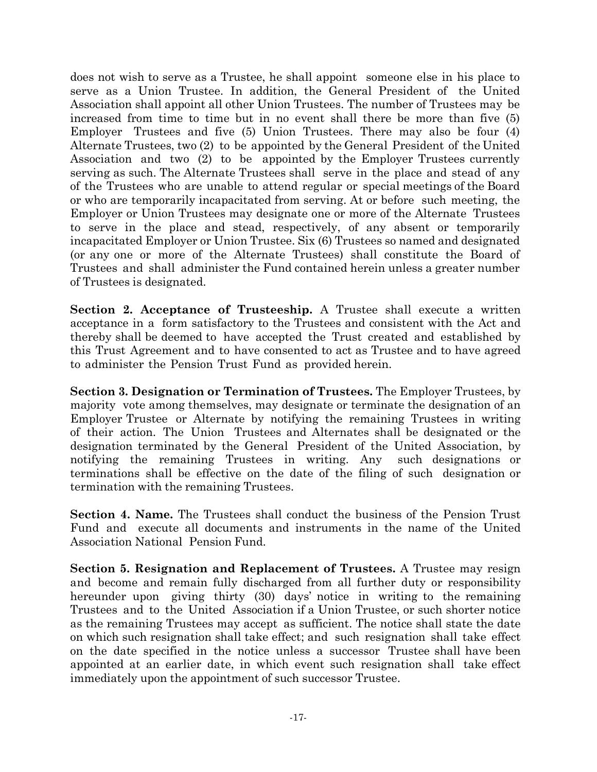does not wish to serve as a Trustee, he shall appoint someone else in his place to serve as a Union Trustee. In addition, the General President of the United Association shall appoint all other Union Trustees. The number of Trustees may be increased from time to time but in no event shall there be more than five (5) Employer Trustees and five (5) Union Trustees. There may also be four (4) Alternate Trustees, two (2) to be appointed by the General President of the United Association and two (2) to be appointed by the Employer Trustees currently serving as such. The Alternate Trustees shall serve in the place and stead of any of the Trustees who are unable to attend regular or special meetings of the Board or who are temporarily incapacitated from serving. At or before such meeting, the Employer or Union Trustees may designate one or more of the Alternate Trustees to serve in the place and stead, respectively, of any absent or temporarily incapacitated Employer or Union Trustee. Six (6) Trustees so named and designated (or any one or more of the Alternate Trustees) shall constitute the Board of Trustees and shall administer the Fund contained herein unless a greater number of Trustees is designated.

**Section 2. Acceptance of Trusteeship.** A Trustee shall execute a written acceptance in a form satisfactory to the Trustees and consistent with the Act and thereby shall be deemed to have accepted the Trust created and established by this Trust Agreement and to have consented to act as Trustee and to have agreed to administer the Pension Trust Fund as provided herein.

**Section 3. Designation or Termination of Trustees.** The Employer Trustees, by majority vote among themselves, may designate or terminate the designation of an Employer Trustee or Alternate by notifying the remaining Trustees in writing of their action. The Union Trustees and Alternates shall be designated or the designation terminated by the General President of the United Association, by notifying the remaining Trustees in writing. Any such designations or terminations shall be effective on the date of the filing of such designation or termination with the remaining Trustees.

**Section 4. Name.** The Trustees shall conduct the business of the Pension Trust Fund and execute all documents and instruments in the name of the United Association National Pension Fund.

**Section 5. Resignation and Replacement of Trustees.** A Trustee may resign and become and remain fully discharged from all further duty or responsibility hereunder upon giving thirty (30) days' notice in writing to the remaining Trustees and to the United Association if a Union Trustee, or such shorter notice as the remaining Trustees may accept as sufficient. The notice shall state the date on which such resignation shall take effect; and such resignation shall take effect on the date specified in the notice unless a successor Trustee shall have been appointed at an earlier date, in which event such resignation shall take effect immediately upon the appointment of such successor Trustee.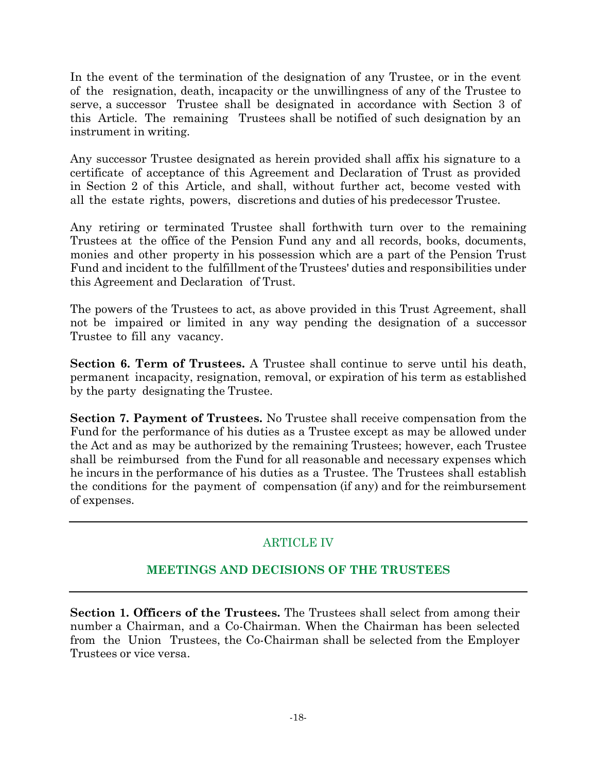In the event of the termination of the designation of any Trustee, or in the event of the resignation, death, incapacity or the unwillingness of any of the Trustee to serve, a successor Trustee shall be designated in accordance with Section 3 of this Article. The remaining Trustees shall be notified of such designation by an instrument in writing.

Any successor Trustee designated as herein provided shall affix his signature to a certificate of acceptance of this Agreement and Declaration of Trust as provided in Section 2 of this Article, and shall, without further act, become vested with all the estate rights, powers, discretions and duties of his predecessor Trustee.

Any retiring or terminated Trustee shall forthwith turn over to the remaining Trustees at the office of the Pension Fund any and all records, books, documents, monies and other property in his possession which are a part of the Pension Trust Fund and incident to the fulfillment of the Trustees' duties and responsibilities under this Agreement and Declaration of Trust.

The powers of the Trustees to act, as above provided in this Trust Agreement, shall not be impaired or limited in any way pending the designation of a successor Trustee to fill any vacancy.

**Section 6. Term of Trustees.** A Trustee shall continue to serve until his death, permanent incapacity, resignation, removal, or expiration of his term as established by the party designating the Trustee.

**Section 7. Payment of Trustees.** No Trustee shall receive compensation from the Fund for the performance of his duties as a Trustee except as may be allowed under the Act and as may be authorized by the remaining Trustees; however, each Trustee shall be reimbursed from the Fund for all reasonable and necessary expenses which he incurs in the performance of his duties as a Trustee. The Trustees shall establish the conditions for the payment of compensation (if any) and for the reimbursement of expenses.

# ARTICLE IV

# **MEETINGS AND DECISIONS OF THE TRUSTEES**

**Section 1. Officers of the Trustees.** The Trustees shall select from among their number a Chairman, and a Co-Chairman. When the Chairman has been selected from the Union Trustees, the Co-Chairman shall be selected from the Employer Trustees or vice versa.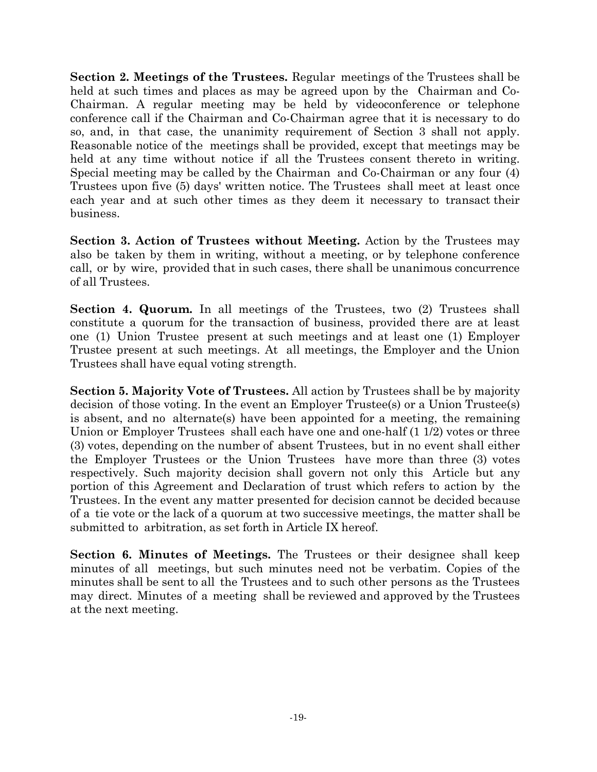**Section 2. Meetings of the Trustees.** Regular meetings of the Trustees shall be held at such times and places as may be agreed upon by the Chairman and Co-Chairman. A regular meeting may be held by videoconference or telephone conference call if the Chairman and Co-Chairman agree that it is necessary to do so, and, in that case, the unanimity requirement of Section 3 shall not apply. Reasonable notice of the meetings shall be provided, except that meetings may be held at any time without notice if all the Trustees consent thereto in writing. Special meeting may be called by the Chairman and Co-Chairman or any four (4) Trustees upon five (5) days' written notice. The Trustees shall meet at least once each year and at such other times as they deem it necessary to transact their business.

**Section 3. Action of Trustees without Meeting.** Action by the Trustees may also be taken by them in writing, without a meeting, or by telephone conference call, or by wire, provided that in such cases, there shall be unanimous concurrence of all Trustees.

**Section 4. Quorum.** In all meetings of the Trustees, two (2) Trustees shall constitute a quorum for the transaction of business, provided there are at least one (1) Union Trustee present at such meetings and at least one (1) Employer Trustee present at such meetings. At all meetings, the Employer and the Union Trustees shall have equal voting strength.

**Section 5. Majority Vote of Trustees.** All action by Trustees shall be by majority decision of those voting. In the event an Employer Trustee(s) or a Union Trustee(s) is absent, and no alternate(s) have been appointed for a meeting, the remaining Union or Employer Trustees shall each have one and one-half (1 1/2) votes or three (3) votes, depending on the number of absent Trustees, but in no event shall either the Employer Trustees or the Union Trustees have more than three (3) votes respectively. Such majority decision shall govern not only this Article but any portion of this Agreement and Declaration of trust which refers to action by the Trustees. In the event any matter presented for decision cannot be decided because of a tie vote or the lack of a quorum at two successive meetings, the matter shall be submitted to arbitration, as set forth in Article IX hereof.

**Section 6. Minutes of Meetings.** The Trustees or their designee shall keep minutes of all meetings, but such minutes need not be verbatim. Copies of the minutes shall be sent to all the Trustees and to such other persons as the Trustees may direct. Minutes of a meeting shall be reviewed and approved by the Trustees at the next meeting.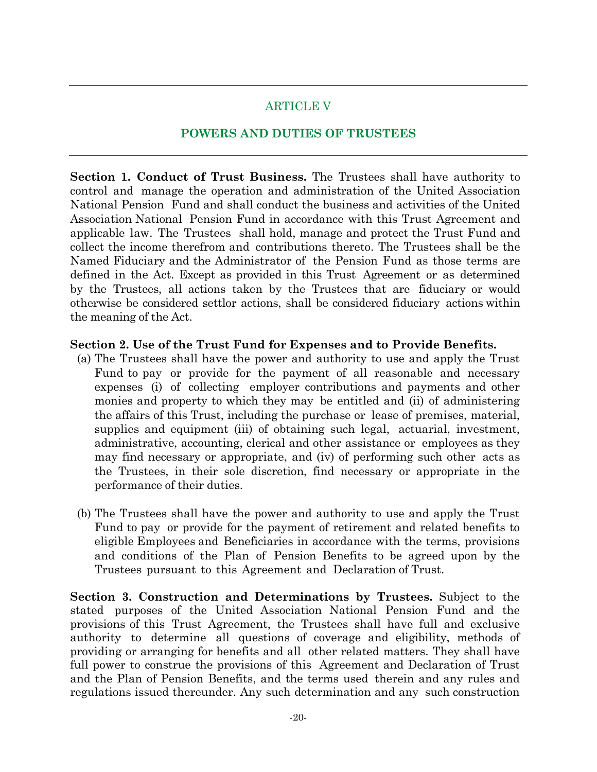### ARTICLE V

#### **POWERS AND DUTIES OF TRUSTEES**

**Section 1. Conduct of Trust Business.** The Trustees shall have authority to control and manage the operation and administration of the United Association National Pension Fund and shall conduct the business and activities of the United Association National Pension Fund in accordance with this Trust Agreement and applicable law. The Trustees shall hold, manage and protect the Trust Fund and collect the income therefrom and contributions thereto. The Trustees shall be the Named Fiduciary and the Administrator of the Pension Fund as those terms are defined in the Act. Except as provided in this Trust Agreement or as determined by the Trustees, all actions taken by the Trustees that are fiduciary or would otherwise be considered settlor actions, shall be considered fiduciary actions within the meaning of the Act.

#### **Section 2. Use of the Trust Fund for Expenses and to Provide Benefits.**

- (a) The Trustees shall have the power and authority to use and apply the Trust Fund to pay or provide for the payment of all reasonable and necessary expenses (i) of collecting employer contributions and payments and other monies and property to which they may be entitled and (ii) of administering the affairs of this Trust, including the purchase or lease of premises, material, supplies and equipment (iii) of obtaining such legal, actuarial, investment, administrative, accounting, clerical and other assistance or employees as they may find necessary or appropriate, and (iv) of performing such other acts as the Trustees, in their sole discretion, find necessary or appropriate in the performance of their duties.
- (b) The Trustees shall have the power and authority to use and apply the Trust Fund to pay or provide for the payment of retirement and related benefits to eligible Employees and Beneficiaries in accordance with the terms, provisions and conditions of the Plan of Pension Benefits to be agreed upon by the Trustees pursuant to this Agreement and Declaration of Trust.

**Section 3. Construction and Determinations by Trustees.** Subject to the stated purposes of the United Association National Pension Fund and the provisions of this Trust Agreement, the Trustees shall have full and exclusive authority to determine all questions of coverage and eligibility, methods of providing or arranging for benefits and all other related matters. They shall have full power to construe the provisions of this Agreement and Declaration of Trust and the Plan of Pension Benefits, and the terms used therein and any rules and regulations issued thereunder. Any such determination and any such construction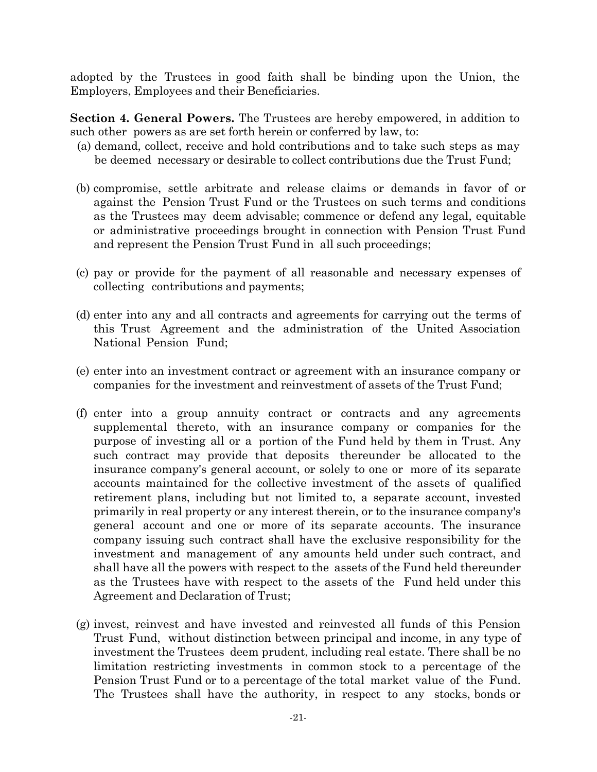adopted by the Trustees in good faith shall be binding upon the Union, the Employers, Employees and their Beneficiaries.

**Section 4. General Powers.** The Trustees are hereby empowered, in addition to such other powers as are set forth herein or conferred by law, to:

- (a) demand, collect, receive and hold contributions and to take such steps as may be deemed necessary or desirable to collect contributions due the Trust Fund;
- (b) compromise, settle arbitrate and release claims or demands in favor of or against the Pension Trust Fund or the Trustees on such terms and conditions as the Trustees may deem advisable; commence or defend any legal, equitable or administrative proceedings brought in connection with Pension Trust Fund and represent the Pension Trust Fund in all such proceedings;
- (c) pay or provide for the payment of all reasonable and necessary expenses of collecting contributions and payments;
- (d) enter into any and all contracts and agreements for carrying out the terms of this Trust Agreement and the administration of the United Association National Pension Fund;
- (e) enter into an investment contract or agreement with an insurance company or companies for the investment and reinvestment of assets of the Trust Fund;
- (f) enter into a group annuity contract or contracts and any agreements supplemental thereto, with an insurance company or companies for the purpose of investing all or a portion of the Fund held by them in Trust. Any such contract may provide that deposits thereunder be allocated to the insurance company's general account, or solely to one or more of its separate accounts maintained for the collective investment of the assets of qualified retirement plans, including but not limited to, a separate account, invested primarily in real property or any interest therein, or to the insurance company's general account and one or more of its separate accounts. The insurance company issuing such contract shall have the exclusive responsibility for the investment and management of any amounts held under such contract, and shall have all the powers with respect to the assets of the Fund held thereunder as the Trustees have with respect to the assets of the Fund held under this Agreement and Declaration of Trust;
- (g) invest, reinvest and have invested and reinvested all funds of this Pension Trust Fund, without distinction between principal and income, in any type of investment the Trustees deem prudent, including real estate. There shall be no limitation restricting investments in common stock to a percentage of the Pension Trust Fund or to a percentage of the total market value of the Fund. The Trustees shall have the authority, in respect to any stocks, bonds or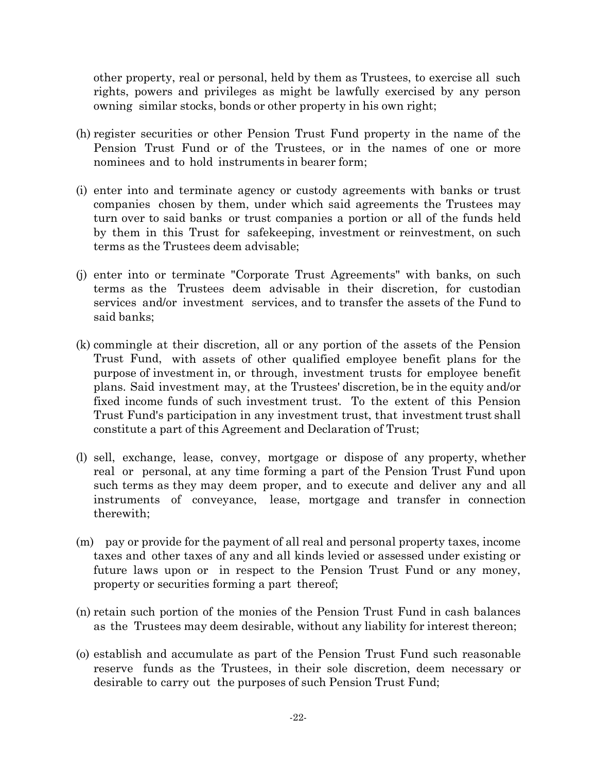other property, real or personal, held by them as Trustees, to exercise all such rights, powers and privileges as might be lawfully exercised by any person owning similar stocks, bonds or other property in his own right;

- (h) register securities or other Pension Trust Fund property in the name of the Pension Trust Fund or of the Trustees, or in the names of one or more nominees and to hold instruments in bearer form;
- (i) enter into and terminate agency or custody agreements with banks or trust companies chosen by them, under which said agreements the Trustees may turn over to said banks or trust companies a portion or all of the funds held by them in this Trust for safekeeping, investment or reinvestment, on such terms as the Trustees deem advisable;
- (j) enter into or terminate "Corporate Trust Agreements" with banks, on such terms as the Trustees deem advisable in their discretion, for custodian services and/or investment services, and to transfer the assets of the Fund to said banks;
- (k) commingle at their discretion, all or any portion of the assets of the Pension Trust Fund, with assets of other qualified employee benefit plans for the purpose of investment in, or through, investment trusts for employee benefit plans. Said investment may, at the Trustees' discretion, be in the equity and/or fixed income funds of such investment trust. To the extent of this Pension Trust Fund's participation in any investment trust, that investment trust shall constitute a part of this Agreement and Declaration of Trust;
- (l) sell, exchange, lease, convey, mortgage or dispose of any property, whether real or personal, at any time forming a part of the Pension Trust Fund upon such terms as they may deem proper, and to execute and deliver any and all instruments of conveyance, lease, mortgage and transfer in connection therewith;
- (m) pay or provide for the payment of all real and personal property taxes, income taxes and other taxes of any and all kinds levied or assessed under existing or future laws upon or in respect to the Pension Trust Fund or any money, property or securities forming a part thereof;
- (n) retain such portion of the monies of the Pension Trust Fund in cash balances as the Trustees may deem desirable, without any liability for interest thereon;
- (o) establish and accumulate as part of the Pension Trust Fund such reasonable reserve funds as the Trustees, in their sole discretion, deem necessary or desirable to carry out the purposes of such Pension Trust Fund;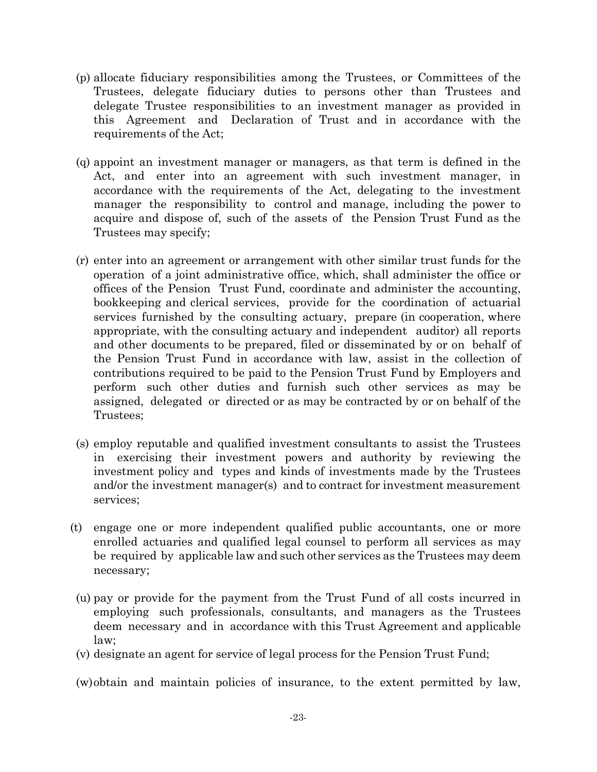- (p) allocate fiduciary responsibilities among the Trustees, or Committees of the Trustees, delegate fiduciary duties to persons other than Trustees and delegate Trustee responsibilities to an investment manager as provided in this Agreement and Declaration of Trust and in accordance with the requirements of the Act;
- (q) appoint an investment manager or managers, as that term is defined in the Act, and enter into an agreement with such investment manager, in accordance with the requirements of the Act, delegating to the investment manager the responsibility to control and manage, including the power to acquire and dispose of, such of the assets of the Pension Trust Fund as the Trustees may specify;
- (r) enter into an agreement or arrangement with other similar trust funds for the operation of a joint administrative office, which, shall administer the office or offices of the Pension Trust Fund, coordinate and administer the accounting, bookkeeping and clerical services, provide for the coordination of actuarial services furnished by the consulting actuary, prepare (in cooperation, where appropriate, with the consulting actuary and independent auditor) all reports and other documents to be prepared, filed or disseminated by or on behalf of the Pension Trust Fund in accordance with law, assist in the collection of contributions required to be paid to the Pension Trust Fund by Employers and perform such other duties and furnish such other services as may be assigned, delegated or directed or as may be contracted by or on behalf of the Trustees;
- (s) employ reputable and qualified investment consultants to assist the Trustees in exercising their investment powers and authority by reviewing the investment policy and types and kinds of investments made by the Trustees and/or the investment manager(s) and to contract for investment measurement services;
- (t) engage one or more independent qualified public accountants, one or more enrolled actuaries and qualified legal counsel to perform all services as may be required by applicable law and such other services as the Trustees may deem necessary;
- (u) pay or provide for the payment from the Trust Fund of all costs incurred in employing such professionals, consultants, and managers as the Trustees deem necessary and in accordance with this Trust Agreement and applicable law;
- (v) designate an agent for service of legal process for the Pension Trust Fund;

(w)obtain and maintain policies of insurance, to the extent permitted by law,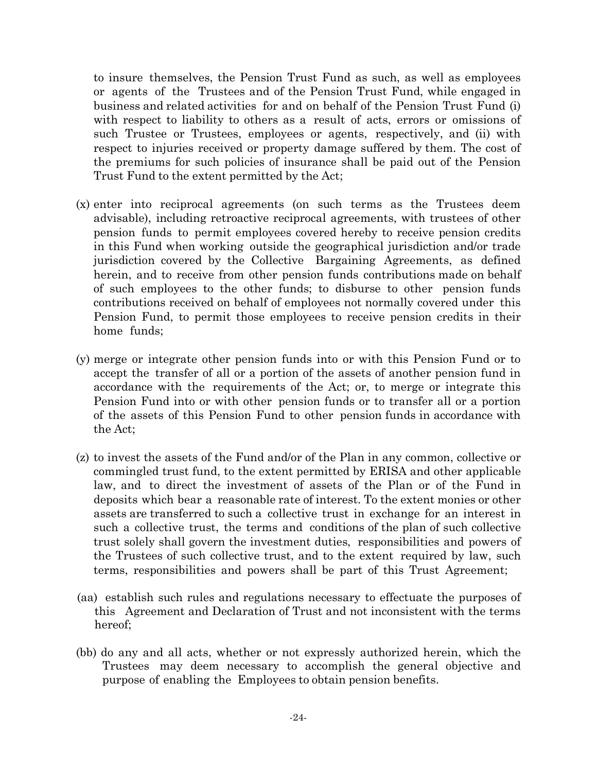to insure themselves, the Pension Trust Fund as such, as well as employees or agents of the Trustees and of the Pension Trust Fund, while engaged in business and related activities for and on behalf of the Pension Trust Fund (i) with respect to liability to others as a result of acts, errors or omissions of such Trustee or Trustees, employees or agents, respectively, and (ii) with respect to injuries received or property damage suffered by them. The cost of the premiums for such policies of insurance shall be paid out of the Pension Trust Fund to the extent permitted by the Act;

- (x) enter into reciprocal agreements (on such terms as the Trustees deem advisable), including retroactive reciprocal agreements, with trustees of other pension funds to permit employees covered hereby to receive pension credits in this Fund when working outside the geographical jurisdiction and/or trade jurisdiction covered by the Collective Bargaining Agreements, as defined herein, and to receive from other pension funds contributions made on behalf of such employees to the other funds; to disburse to other pension funds contributions received on behalf of employees not normally covered under this Pension Fund, to permit those employees to receive pension credits in their home funds;
- (y) merge or integrate other pension funds into or with this Pension Fund or to accept the transfer of all or a portion of the assets of another pension fund in accordance with the requirements of the Act; or, to merge or integrate this Pension Fund into or with other pension funds or to transfer all or a portion of the assets of this Pension Fund to other pension funds in accordance with the Act;
- (z) to invest the assets of the Fund and/or of the Plan in any common, collective or commingled trust fund, to the extent permitted by ERISA and other applicable law, and to direct the investment of assets of the Plan or of the Fund in deposits which bear a reasonable rate of interest. To the extent monies or other assets are transferred to such a collective trust in exchange for an interest in such a collective trust, the terms and conditions of the plan of such collective trust solely shall govern the investment duties, responsibilities and powers of the Trustees of such collective trust, and to the extent required by law, such terms, responsibilities and powers shall be part of this Trust Agreement;
- (aa) establish such rules and regulations necessary to effectuate the purposes of this Agreement and Declaration of Trust and not inconsistent with the terms hereof;
- (bb) do any and all acts, whether or not expressly authorized herein, which the Trustees may deem necessary to accomplish the general objective and purpose of enabling the Employees to obtain pension benefits.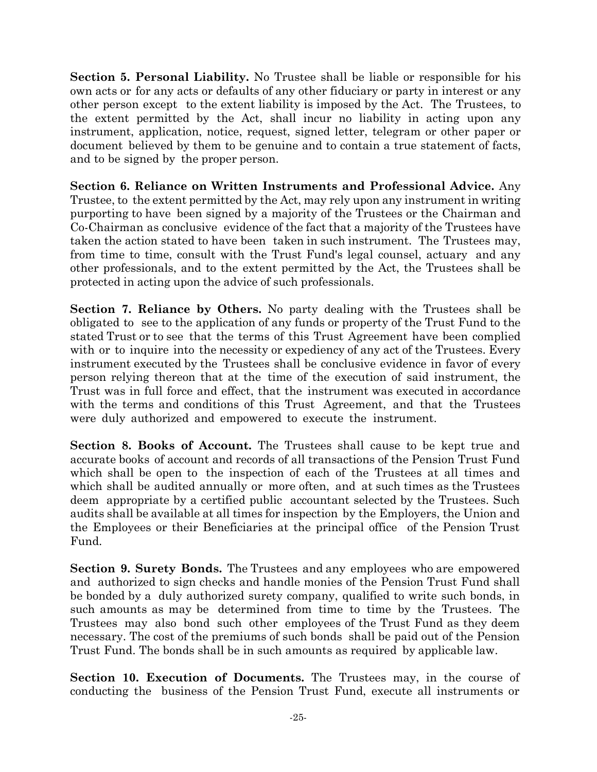**Section 5. Personal Liability.** No Trustee shall be liable or responsible for his own acts or for any acts or defaults of any other fiduciary or party in interest or any other person except to the extent liability is imposed by the Act. The Trustees, to the extent permitted by the Act, shall incur no liability in acting upon any instrument, application, notice, request, signed letter, telegram or other paper or document believed by them to be genuine and to contain a true statement of facts, and to be signed by the proper person.

**Section 6. Reliance on Written Instruments and Professional Advice.** Any Trustee, to the extent permitted by the Act, may rely upon any instrument in writing purporting to have been signed by a majority of the Trustees or the Chairman and Co-Chairman as conclusive evidence of the fact that a majority of the Trustees have taken the action stated to have been taken in such instrument. The Trustees may, from time to time, consult with the Trust Fund's legal counsel, actuary and any other professionals, and to the extent permitted by the Act, the Trustees shall be protected in acting upon the advice of such professionals.

**Section 7. Reliance by Others.** No party dealing with the Trustees shall be obligated to see to the application of any funds or property of the Trust Fund to the stated Trust or to see that the terms of this Trust Agreement have been complied with or to inquire into the necessity or expediency of any act of the Trustees. Every instrument executed by the Trustees shall be conclusive evidence in favor of every person relying thereon that at the time of the execution of said instrument, the Trust was in full force and effect, that the instrument was executed in accordance with the terms and conditions of this Trust Agreement, and that the Trustees were duly authorized and empowered to execute the instrument.

**Section 8. Books of Account.** The Trustees shall cause to be kept true and accurate books of account and records of all transactions of the Pension Trust Fund which shall be open to the inspection of each of the Trustees at all times and which shall be audited annually or more often, and at such times as the Trustees deem appropriate by a certified public accountant selected by the Trustees. Such audits shall be available at all times for inspection by the Employers, the Union and the Employees or their Beneficiaries at the principal office of the Pension Trust Fund.

**Section 9. Surety Bonds.** The Trustees and any employees who are empowered and authorized to sign checks and handle monies of the Pension Trust Fund shall be bonded by a duly authorized surety company, qualified to write such bonds, in such amounts as may be determined from time to time by the Trustees. The Trustees may also bond such other employees of the Trust Fund as they deem necessary. The cost of the premiums of such bonds shall be paid out of the Pension Trust Fund. The bonds shall be in such amounts as required by applicable law.

**Section 10. Execution of Documents.** The Trustees may, in the course of conducting the business of the Pension Trust Fund, execute all instruments or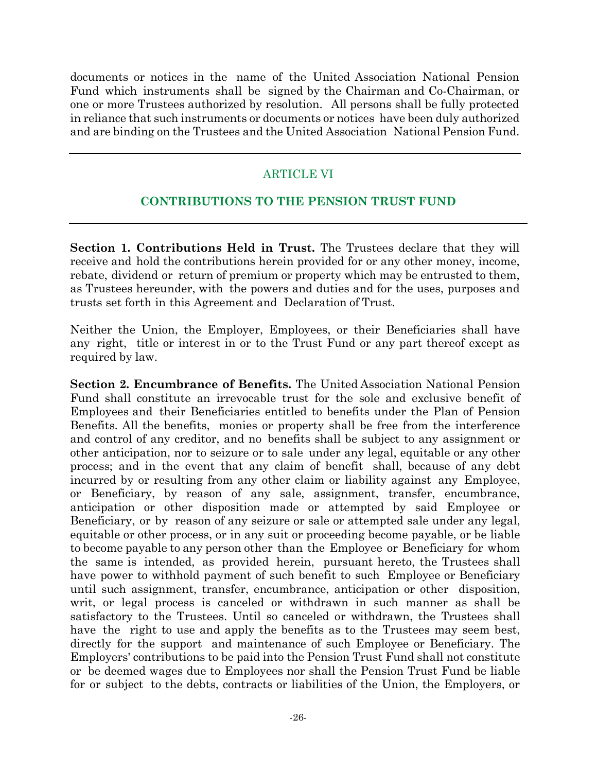documents or notices in the name of the United Association National Pension Fund which instruments shall be signed by the Chairman and Co-Chairman, or one or more Trustees authorized by resolution. All persons shall be fully protected in reliance that such instruments or documents or notices have been duly authorized and are binding on the Trustees and the United Association National Pension Fund.

#### ARTICLE VI

### **CONTRIBUTIONS TO THE PENSION TRUST FUND**

**Section 1. Contributions Held in Trust.** The Trustees declare that they will receive and hold the contributions herein provided for or any other money, income, rebate, dividend or return of premium or property which may be entrusted to them, as Trustees hereunder, with the powers and duties and for the uses, purposes and trusts set forth in this Agreement and Declaration of Trust.

Neither the Union, the Employer, Employees, or their Beneficiaries shall have any right, title or interest in or to the Trust Fund or any part thereof except as required by law.

**Section 2. Encumbrance of Benefits.** The United Association National Pension Fund shall constitute an irrevocable trust for the sole and exclusive benefit of Employees and their Beneficiaries entitled to benefits under the Plan of Pension Benefits. All the benefits, monies or property shall be free from the interference and control of any creditor, and no benefits shall be subject to any assignment or other anticipation, nor to seizure or to sale under any legal, equitable or any other process; and in the event that any claim of benefit shall, because of any debt incurred by or resulting from any other claim or liability against any Employee, or Beneficiary, by reason of any sale, assignment, transfer, encumbrance, anticipation or other disposition made or attempted by said Employee or Beneficiary, or by reason of any seizure or sale or attempted sale under any legal, equitable or other process, or in any suit or proceeding become payable, or be liable to become payable to any person other than the Employee or Beneficiary for whom the same is intended, as provided herein, pursuant hereto, the Trustees shall have power to withhold payment of such benefit to such Employee or Beneficiary until such assignment, transfer, encumbrance, anticipation or other disposition, writ, or legal process is canceled or withdrawn in such manner as shall be satisfactory to the Trustees. Until so canceled or withdrawn, the Trustees shall have the right to use and apply the benefits as to the Trustees may seem best, directly for the support and maintenance of such Employee or Beneficiary. The Employers' contributions to be paid into the Pension Trust Fund shall not constitute or be deemed wages due to Employees nor shall the Pension Trust Fund be liable for or subject to the debts, contracts or liabilities of the Union, the Employers, or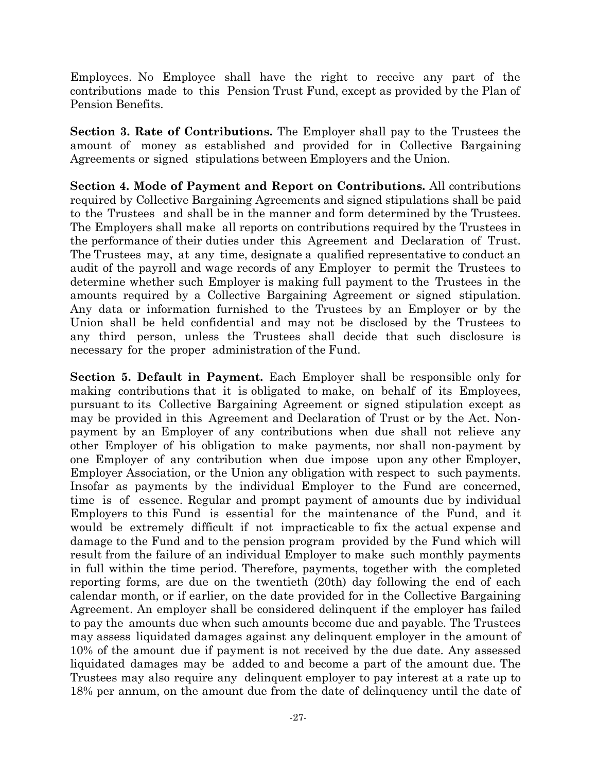Employees. No Employee shall have the right to receive any part of the contributions made to this Pension Trust Fund, except as provided by the Plan of Pension Benefits.

**Section 3. Rate of Contributions.** The Employer shall pay to the Trustees the amount of money as established and provided for in Collective Bargaining Agreements or signed stipulations between Employers and the Union.

**Section 4. Mode of Payment and Report on Contributions.** All contributions required by Collective Bargaining Agreements and signed stipulations shall be paid to the Trustees and shall be in the manner and form determined by the Trustees. The Employers shall make all reports on contributions required by the Trustees in the performance of their duties under this Agreement and Declaration of Trust. The Trustees may, at any time, designate a qualified representative to conduct an audit of the payroll and wage records of any Employer to permit the Trustees to determine whether such Employer is making full payment to the Trustees in the amounts required by a Collective Bargaining Agreement or signed stipulation. Any data or information furnished to the Trustees by an Employer or by the Union shall be held confidential and may not be disclosed by the Trustees to any third person, unless the Trustees shall decide that such disclosure is necessary for the proper administration of the Fund.

**Section 5. Default in Payment.** Each Employer shall be responsible only for making contributions that it is obligated to make, on behalf of its Employees, pursuant to its Collective Bargaining Agreement or signed stipulation except as may be provided in this Agreement and Declaration of Trust or by the Act. Nonpayment by an Employer of any contributions when due shall not relieve any other Employer of his obligation to make payments, nor shall non-payment by one Employer of any contribution when due impose upon any other Employer, Employer Association, or the Union any obligation with respect to such payments. Insofar as payments by the individual Employer to the Fund are concerned, time is of essence. Regular and prompt payment of amounts due by individual Employers to this Fund is essential for the maintenance of the Fund, and it would be extremely difficult if not impracticable to fix the actual expense and damage to the Fund and to the pension program provided by the Fund which will result from the failure of an individual Employer to make such monthly payments in full within the time period. Therefore, payments, together with the completed reporting forms, are due on the twentieth (20th) day following the end of each calendar month, or if earlier, on the date provided for in the Collective Bargaining Agreement. An employer shall be considered delinquent if the employer has failed to pay the amounts due when such amounts become due and payable. The Trustees may assess liquidated damages against any delinquent employer in the amount of 10% of the amount due if payment is not received by the due date. Any assessed liquidated damages may be added to and become a part of the amount due. The Trustees may also require any delinquent employer to pay interest at a rate up to 18% per annum, on the amount due from the date of delinquency until the date of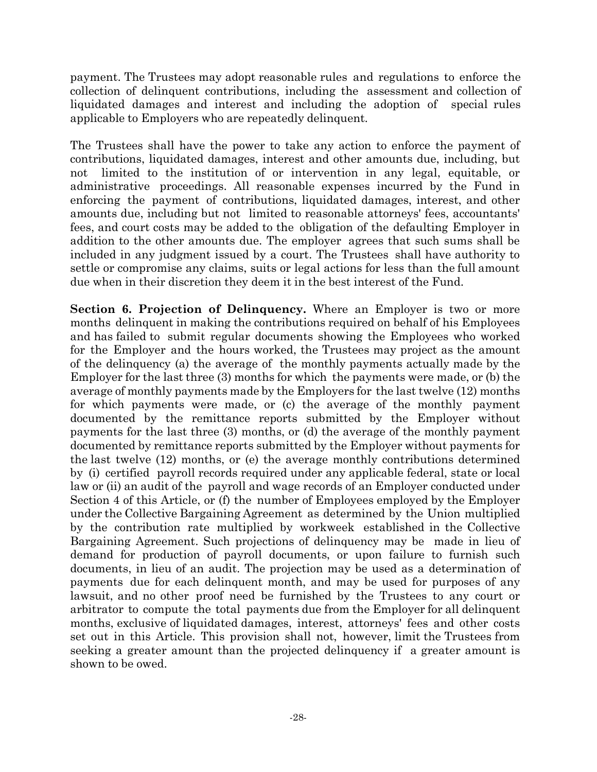payment. The Trustees may adopt reasonable rules and regulations to enforce the collection of delinquent contributions, including the assessment and collection of liquidated damages and interest and including the adoption of special rules applicable to Employers who are repeatedly delinquent.

The Trustees shall have the power to take any action to enforce the payment of contributions, liquidated damages, interest and other amounts due, including, but not limited to the institution of or intervention in any legal, equitable, or administrative proceedings. All reasonable expenses incurred by the Fund in enforcing the payment of contributions, liquidated damages, interest, and other amounts due, including but not limited to reasonable attorneys' fees, accountants' fees, and court costs may be added to the obligation of the defaulting Employer in addition to the other amounts due. The employer agrees that such sums shall be included in any judgment issued by a court. The Trustees shall have authority to settle or compromise any claims, suits or legal actions for less than the full amount due when in their discretion they deem it in the best interest of the Fund.

**Section 6. Projection of Delinquency.** Where an Employer is two or more months delinquent in making the contributions required on behalf of his Employees and has failed to submit regular documents showing the Employees who worked for the Employer and the hours worked, the Trustees may project as the amount of the delinquency (a) the average of the monthly payments actually made by the Employer for the last three (3) months for which the payments were made, or (b) the average of monthly payments made by the Employers for the last twelve (12) months for which payments were made, or (c) the average of the monthly payment documented by the remittance reports submitted by the Employer without payments for the last three (3) months, or (d) the average of the monthly payment documented by remittance reports submitted by the Employer without payments for the last twelve (12) months, or (e) the average monthly contributions determined by (i) certified payroll records required under any applicable federal, state or local law or (ii) an audit of the payroll and wage records of an Employer conducted under Section 4 of this Article, or (f) the number of Employees employed by the Employer under the Collective Bargaining Agreement as determined by the Union multiplied by the contribution rate multiplied by workweek established in the Collective Bargaining Agreement. Such projections of delinquency may be made in lieu of demand for production of payroll documents, or upon failure to furnish such documents, in lieu of an audit. The projection may be used as a determination of payments due for each delinquent month, and may be used for purposes of any lawsuit, and no other proof need be furnished by the Trustees to any court or arbitrator to compute the total payments due from the Employer for all delinquent months, exclusive of liquidated damages, interest, attorneys' fees and other costs set out in this Article. This provision shall not, however, limit the Trustees from seeking a greater amount than the projected delinquency if a greater amount is shown to be owed.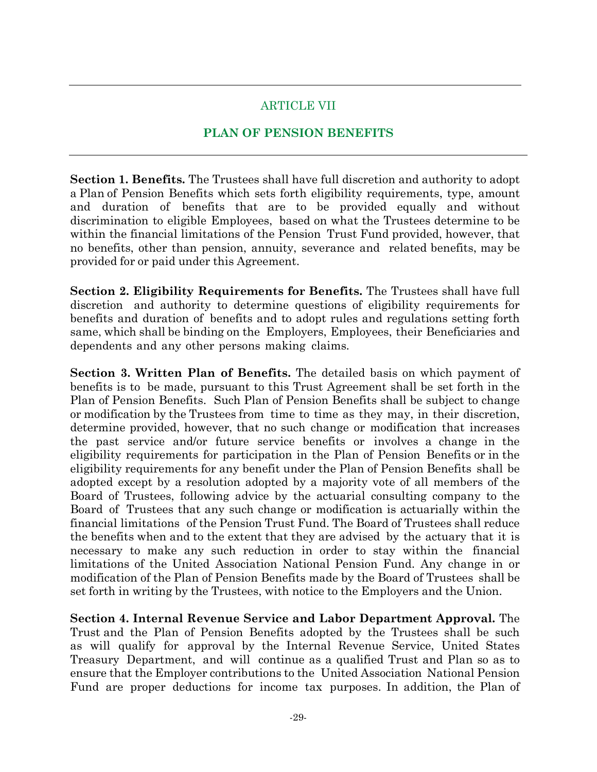# ARTICLE VII

# **PLAN OF PENSION BENEFITS**

**Section 1. Benefits.** The Trustees shall have full discretion and authority to adopt a Plan of Pension Benefits which sets forth eligibility requirements, type, amount and duration of benefits that are to be provided equally and without discrimination to eligible Employees, based on what the Trustees determine to be within the financial limitations of the Pension Trust Fund provided, however, that no benefits, other than pension, annuity, severance and related benefits, may be provided for or paid under this Agreement.

**Section 2. Eligibility Requirements for Benefits.** The Trustees shall have full discretion and authority to determine questions of eligibility requirements for benefits and duration of benefits and to adopt rules and regulations setting forth same, which shall be binding on the Employers, Employees, their Beneficiaries and dependents and any other persons making claims.

**Section 3. Written Plan of Benefits.** The detailed basis on which payment of benefits is to be made, pursuant to this Trust Agreement shall be set forth in the Plan of Pension Benefits. Such Plan of Pension Benefits shall be subject to change or modification by the Trustees from time to time as they may, in their discretion, determine provided, however, that no such change or modification that increases the past service and/or future service benefits or involves a change in the eligibility requirements for participation in the Plan of Pension Benefits or in the eligibility requirements for any benefit under the Plan of Pension Benefits shall be adopted except by a resolution adopted by a majority vote of all members of the Board of Trustees, following advice by the actuarial consulting company to the Board of Trustees that any such change or modification is actuarially within the financial limitations of the Pension Trust Fund. The Board of Trustees shall reduce the benefits when and to the extent that they are advised by the actuary that it is necessary to make any such reduction in order to stay within the financial limitations of the United Association National Pension Fund. Any change in or modification of the Plan of Pension Benefits made by the Board of Trustees shall be set forth in writing by the Trustees, with notice to the Employers and the Union.

**Section 4. Internal Revenue Service and Labor Department Approval.** The Trust and the Plan of Pension Benefits adopted by the Trustees shall be such as will qualify for approval by the Internal Revenue Service, United States Treasury Department, and will continue as a qualified Trust and Plan so as to ensure that the Employer contributions to the United Association National Pension Fund are proper deductions for income tax purposes. In addition, the Plan of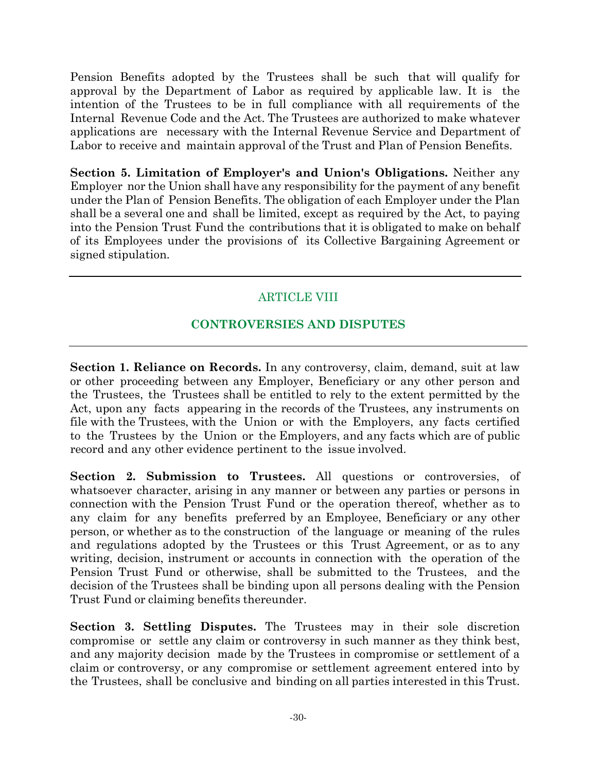Pension Benefits adopted by the Trustees shall be such that will qualify for approval by the Department of Labor as required by applicable law. It is the intention of the Trustees to be in full compliance with all requirements of the Internal Revenue Code and the Act. The Trustees are authorized to make whatever applications are necessary with the Internal Revenue Service and Department of Labor to receive and maintain approval of the Trust and Plan of Pension Benefits.

**Section 5. Limitation of Employer's and Union's Obligations.** Neither any Employer nor the Union shall have any responsibility for the payment of any benefit under the Plan of Pension Benefits. The obligation of each Employer under the Plan shall be a several one and shall be limited, except as required by the Act, to paying into the Pension Trust Fund the contributions that it is obligated to make on behalf of its Employees under the provisions of its Collective Bargaining Agreement or signed stipulation.

# ARTICLE VIII

# **CONTROVERSIES AND DISPUTES**

**Section 1. Reliance on Records.** In any controversy, claim, demand, suit at law or other proceeding between any Employer, Beneficiary or any other person and the Trustees, the Trustees shall be entitled to rely to the extent permitted by the Act, upon any facts appearing in the records of the Trustees, any instruments on file with the Trustees, with the Union or with the Employers, any facts certified to the Trustees by the Union or the Employers, and any facts which are of public record and any other evidence pertinent to the issue involved.

**Section 2. Submission to Trustees.** All questions or controversies, of whatsoever character, arising in any manner or between any parties or persons in connection with the Pension Trust Fund or the operation thereof, whether as to any claim for any benefits preferred by an Employee, Beneficiary or any other person, or whether as to the construction of the language or meaning of the rules and regulations adopted by the Trustees or this Trust Agreement, or as to any writing, decision, instrument or accounts in connection with the operation of the Pension Trust Fund or otherwise, shall be submitted to the Trustees, and the decision of the Trustees shall be binding upon all persons dealing with the Pension Trust Fund or claiming benefits thereunder.

**Section 3. Settling Disputes.** The Trustees may in their sole discretion compromise or settle any claim or controversy in such manner as they think best, and any majority decision made by the Trustees in compromise or settlement of a claim or controversy, or any compromise or settlement agreement entered into by the Trustees, shall be conclusive and binding on all parties interested in this Trust.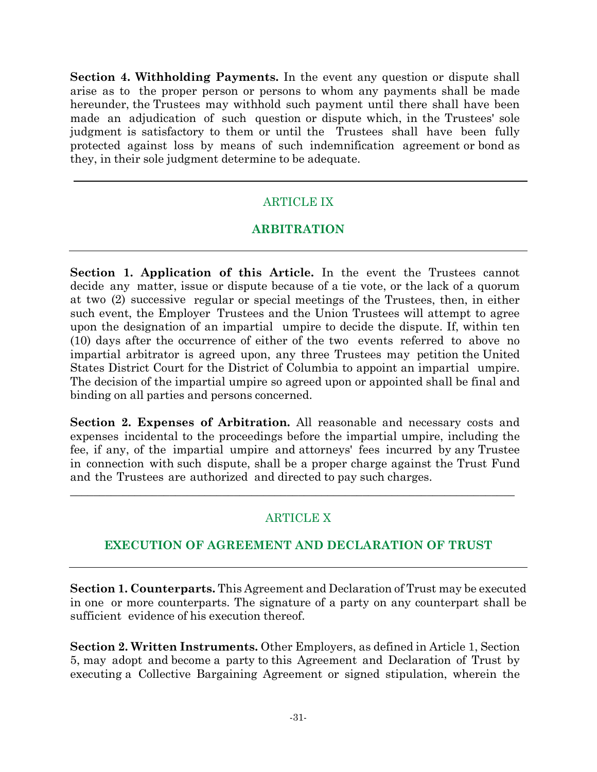**Section 4. Withholding Payments.** In the event any question or dispute shall arise as to the proper person or persons to whom any payments shall be made hereunder, the Trustees may withhold such payment until there shall have been made an adjudication of such question or dispute which, in the Trustees' sole judgment is satisfactory to them or until the Trustees shall have been fully protected against loss by means of such indemnification agreement or bond as they, in their sole judgment determine to be adequate.

# ARTICLE IX

# **ARBITRATION**

**Section 1. Application of this Article.** In the event the Trustees cannot decide any matter, issue or dispute because of a tie vote, or the lack of a quorum at two (2) successive regular or special meetings of the Trustees, then, in either such event, the Employer Trustees and the Union Trustees will attempt to agree upon the designation of an impartial umpire to decide the dispute. If, within ten (10) days after the occurrence of either of the two events referred to above no impartial arbitrator is agreed upon, any three Trustees may petition the United States District Court for the District of Columbia to appoint an impartial umpire. The decision of the impartial umpire so agreed upon or appointed shall be final and binding on all parties and persons concerned.

**Section 2. Expenses of Arbitration.** All reasonable and necessary costs and expenses incidental to the proceedings before the impartial umpire, including the fee, if any, of the impartial umpire and attorneys' fees incurred by any Trustee in connection with such dispute, shall be a proper charge against the Trust Fund and the Trustees are authorized and directed to pay such charges.

\_\_\_\_\_\_\_\_\_\_\_\_\_\_\_\_\_\_\_\_\_\_\_\_\_\_\_\_\_\_\_\_\_\_\_\_\_\_\_\_\_\_\_\_\_\_\_\_\_\_\_\_\_\_\_\_\_\_\_\_\_\_\_\_\_\_\_\_\_\_\_\_\_\_\_\_

### ARTICLE X

### **EXECUTION OF AGREEMENT AND DECLARATION OF TRUST**

**Section 1. Counterparts.** This Agreement and Declaration of Trust may be executed in one or more counterparts. The signature of a party on any counterpart shall be sufficient evidence of his execution thereof.

**Section 2. Written Instruments.** Other Employers, as defined in Article 1, Section 5, may adopt and become a party to this Agreement and Declaration of Trust by executing a Collective Bargaining Agreement or signed stipulation, wherein the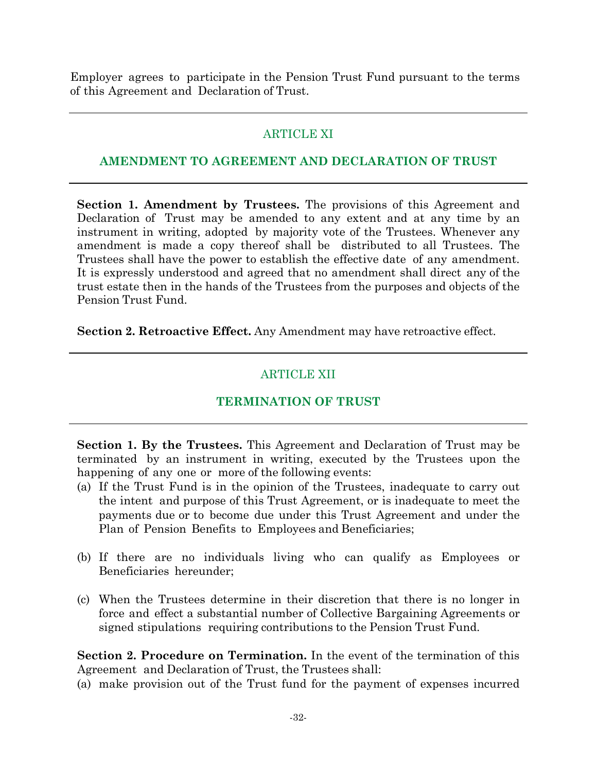Employer agrees to participate in the Pension Trust Fund pursuant to the terms of this Agreement and Declaration of Trust.

# ARTICLE XI

### **AMENDMENT TO AGREEMENT AND DECLARATION OF TRUST**

**Section 1. Amendment by Trustees.** The provisions of this Agreement and Declaration of Trust may be amended to any extent and at any time by an instrument in writing, adopted by majority vote of the Trustees. Whenever any amendment is made a copy thereof shall be distributed to all Trustees. The Trustees shall have the power to establish the effective date of any amendment. It is expressly understood and agreed that no amendment shall direct any of the trust estate then in the hands of the Trustees from the purposes and objects of the Pension Trust Fund.

**Section 2. Retroactive Effect.** Any Amendment may have retroactive effect.

# ARTICLE XII

# **TERMINATION OF TRUST**

**Section 1. By the Trustees.** This Agreement and Declaration of Trust may be terminated by an instrument in writing, executed by the Trustees upon the happening of any one or more of the following events:

- (a) If the Trust Fund is in the opinion of the Trustees, inadequate to carry out the intent and purpose of this Trust Agreement, or is inadequate to meet the payments due or to become due under this Trust Agreement and under the Plan of Pension Benefits to Employees and Beneficiaries;
- (b) If there are no individuals living who can qualify as Employees or Beneficiaries hereunder;
- (c) When the Trustees determine in their discretion that there is no longer in force and effect a substantial number of Collective Bargaining Agreements or signed stipulations requiring contributions to the Pension Trust Fund.

**Section 2. Procedure on Termination.** In the event of the termination of this Agreement and Declaration of Trust, the Trustees shall:

(a) make provision out of the Trust fund for the payment of expenses incurred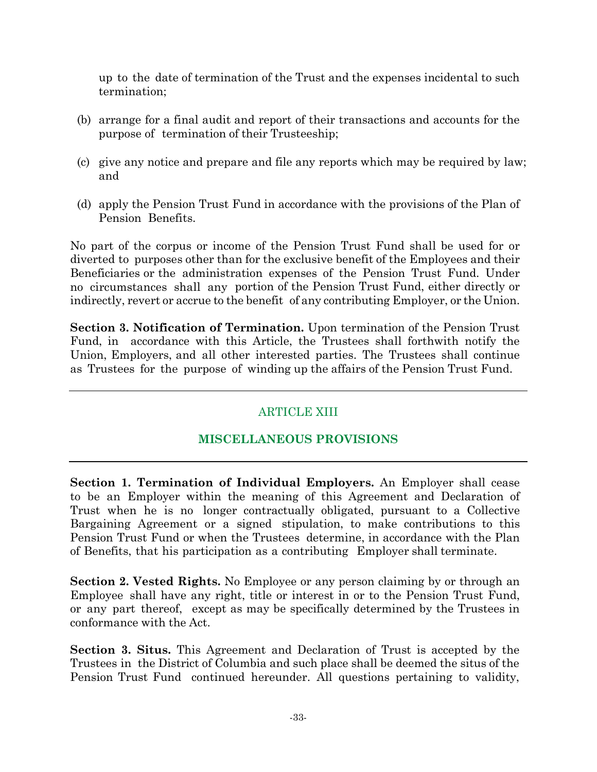up to the date of termination of the Trust and the expenses incidental to such termination;

- (b) arrange for a final audit and report of their transactions and accounts for the purpose of termination of their Trusteeship;
- (c) give any notice and prepare and file any reports which may be required by law; and
- (d) apply the Pension Trust Fund in accordance with the provisions of the Plan of Pension Benefits.

No part of the corpus or income of the Pension Trust Fund shall be used for or diverted to purposes other than for the exclusive benefit of the Employees and their Beneficiaries or the administration expenses of the Pension Trust Fund. Under no circumstances shall any portion of the Pension Trust Fund, either directly or indirectly, revert or accrue to the benefit of any contributing Employer, or the Union.

**Section 3. Notification of Termination.** Upon termination of the Pension Trust Fund, in accordance with this Article, the Trustees shall forthwith notify the Union, Employers, and all other interested parties. The Trustees shall continue as Trustees for the purpose of winding up the affairs of the Pension Trust Fund.

# ARTICLE XIII

### **MISCELLANEOUS PROVISIONS**

**Section 1. Termination of Individual Employers.** An Employer shall cease to be an Employer within the meaning of this Agreement and Declaration of Trust when he is no longer contractually obligated, pursuant to a Collective Bargaining Agreement or a signed stipulation, to make contributions to this Pension Trust Fund or when the Trustees determine, in accordance with the Plan of Benefits, that his participation as a contributing Employer shall terminate.

**Section 2. Vested Rights.** No Employee or any person claiming by or through an Employee shall have any right, title or interest in or to the Pension Trust Fund, or any part thereof, except as may be specifically determined by the Trustees in conformance with the Act.

**Section 3. Situs.** This Agreement and Declaration of Trust is accepted by the Trustees in the District of Columbia and such place shall be deemed the situs of the Pension Trust Fund continued hereunder. All questions pertaining to validity,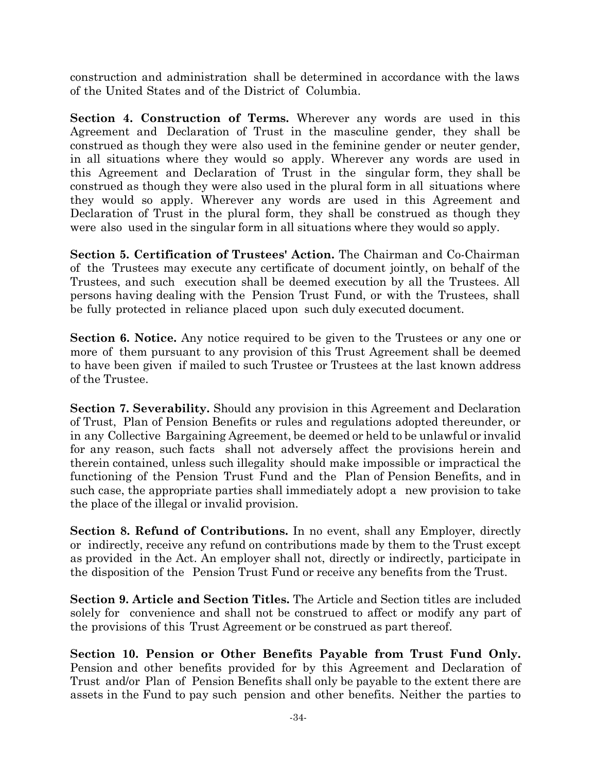construction and administration shall be determined in accordance with the laws of the United States and of the District of Columbia.

**Section 4. Construction of Terms.** Wherever any words are used in this Agreement and Declaration of Trust in the masculine gender, they shall be construed as though they were also used in the feminine gender or neuter gender, in all situations where they would so apply. Wherever any words are used in this Agreement and Declaration of Trust in the singular form, they shall be construed as though they were also used in the plural form in all situations where they would so apply. Wherever any words are used in this Agreement and Declaration of Trust in the plural form, they shall be construed as though they were also used in the singular form in all situations where they would so apply.

**Section 5. Certification of Trustees' Action.** The Chairman and Co-Chairman of the Trustees may execute any certificate of document jointly, on behalf of the Trustees, and such execution shall be deemed execution by all the Trustees. All persons having dealing with the Pension Trust Fund, or with the Trustees, shall be fully protected in reliance placed upon such duly executed document.

**Section 6. Notice.** Any notice required to be given to the Trustees or any one or more of them pursuant to any provision of this Trust Agreement shall be deemed to have been given if mailed to such Trustee or Trustees at the last known address of the Trustee.

**Section 7. Severability.** Should any provision in this Agreement and Declaration of Trust, Plan of Pension Benefits or rules and regulations adopted thereunder, or in any Collective Bargaining Agreement, be deemed or held to be unlawful or invalid for any reason, such facts shall not adversely affect the provisions herein and therein contained, unless such illegality should make impossible or impractical the functioning of the Pension Trust Fund and the Plan of Pension Benefits, and in such case, the appropriate parties shall immediately adopt a new provision to take the place of the illegal or invalid provision.

**Section 8. Refund of Contributions.** In no event, shall any Employer, directly or indirectly, receive any refund on contributions made by them to the Trust except as provided in the Act. An employer shall not, directly or indirectly, participate in the disposition of the Pension Trust Fund or receive any benefits from the Trust.

**Section 9. Article and Section Titles.** The Article and Section titles are included solely for convenience and shall not be construed to affect or modify any part of the provisions of this Trust Agreement or be construed as part thereof.

**Section 10. Pension or Other Benefits Payable from Trust Fund Only.** Pension and other benefits provided for by this Agreement and Declaration of Trust and/or Plan of Pension Benefits shall only be payable to the extent there are assets in the Fund to pay such pension and other benefits. Neither the parties to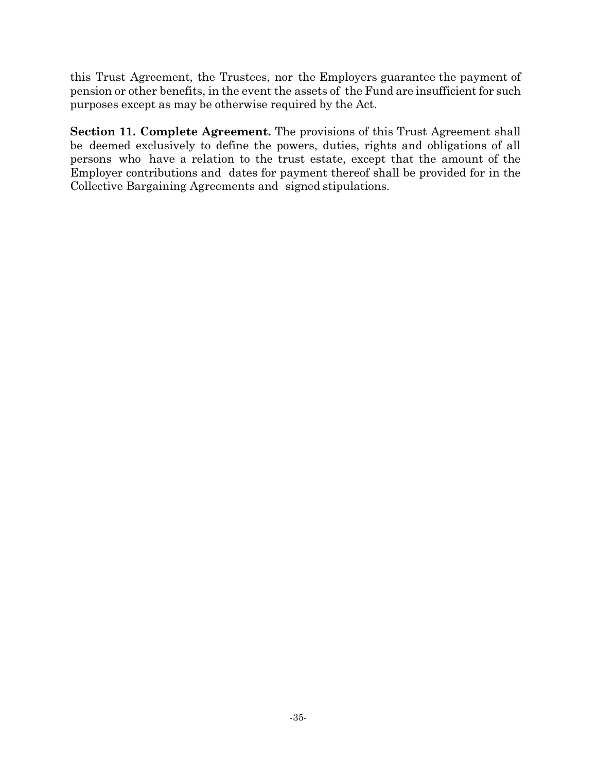this Trust Agreement, the Trustees, nor the Employers guarantee the payment of pension or other benefits, in the event the assets of the Fund are insufficient for such purposes except as may be otherwise required by the Act.

**Section 11. Complete Agreement.** The provisions of this Trust Agreement shall be deemed exclusively to define the powers, duties, rights and obligations of all persons who have a relation to the trust estate, except that the amount of the Employer contributions and dates for payment thereof shall be provided for in the Collective Bargaining Agreements and signed stipulations.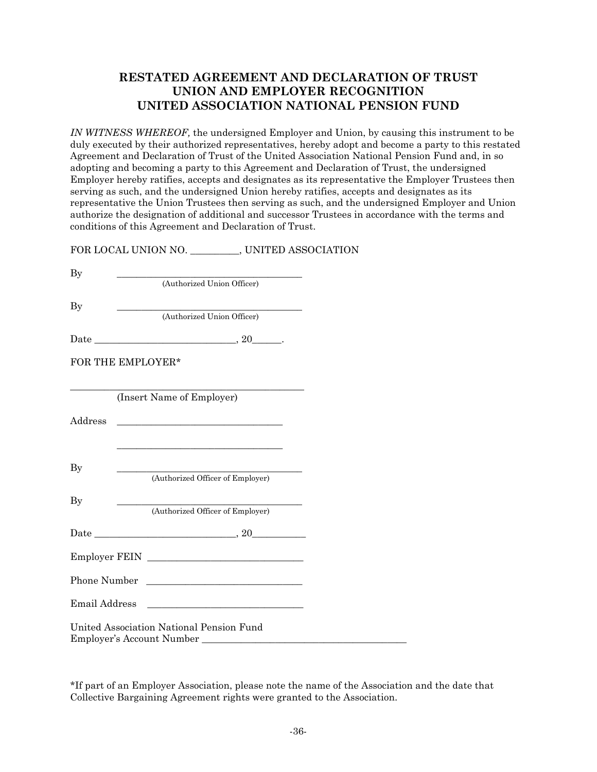#### **RESTATED AGREEMENT AND DECLARATION OF TRUST UNION AND EMPLOYER RECOGNITION UNITED ASSOCIATION NATIONAL PENSION FUND**

*IN WITNESS WHEREOF,* the undersigned Employer and Union, by causing this instrument to be duly executed by their authorized representatives, hereby adopt and become a party to this restated Agreement and Declaration of Trust of the United Association National Pension Fund and, in so adopting and becoming a party to this Agreement and Declaration of Trust, the undersigned Employer hereby ratifies, accepts and designates as its representative the Employer Trustees then serving as such, and the undersigned Union hereby ratifies, accepts and designates as its representative the Union Trustees then serving as such, and the undersigned Employer and Union authorize the designation of additional and successor Trustees in accordance with the terms and conditions of this Agreement and Declaration of Trust.

FOR LOCAL UNION NO. \_\_\_\_\_\_\_\_\_\_, UNITED ASSOCIATION

| By                |                                                                                                                       |  |  |  |  |  |
|-------------------|-----------------------------------------------------------------------------------------------------------------------|--|--|--|--|--|
|                   | (Authorized Union Officer)                                                                                            |  |  |  |  |  |
| By                |                                                                                                                       |  |  |  |  |  |
|                   | (Authorized Union Officer)                                                                                            |  |  |  |  |  |
|                   |                                                                                                                       |  |  |  |  |  |
|                   |                                                                                                                       |  |  |  |  |  |
| FOR THE EMPLOYER* |                                                                                                                       |  |  |  |  |  |
|                   |                                                                                                                       |  |  |  |  |  |
|                   | (Insert Name of Employer)                                                                                             |  |  |  |  |  |
|                   |                                                                                                                       |  |  |  |  |  |
| Address           | <u> 1989 - Johann Barn, mars ann an t-Amhain Aonaich an t-Aonaich an t-Aonaich an t-Aonaich an t-Aonaich an t-Aon</u> |  |  |  |  |  |
|                   |                                                                                                                       |  |  |  |  |  |
|                   |                                                                                                                       |  |  |  |  |  |
| $\mathbf{By}$     |                                                                                                                       |  |  |  |  |  |
|                   | (Authorized Officer of Employer)                                                                                      |  |  |  |  |  |
| By                |                                                                                                                       |  |  |  |  |  |
|                   | (Authorized Officer of Employer)                                                                                      |  |  |  |  |  |
|                   |                                                                                                                       |  |  |  |  |  |
|                   |                                                                                                                       |  |  |  |  |  |
|                   |                                                                                                                       |  |  |  |  |  |
|                   | Phone Number                                                                                                          |  |  |  |  |  |
|                   |                                                                                                                       |  |  |  |  |  |
| Email Address     |                                                                                                                       |  |  |  |  |  |
|                   | United Association National Pension Fund                                                                              |  |  |  |  |  |
|                   | Employer's Account Number                                                                                             |  |  |  |  |  |

\*If part of an Employer Association, please note the name of the Association and the date that Collective Bargaining Agreement rights were granted to the Association.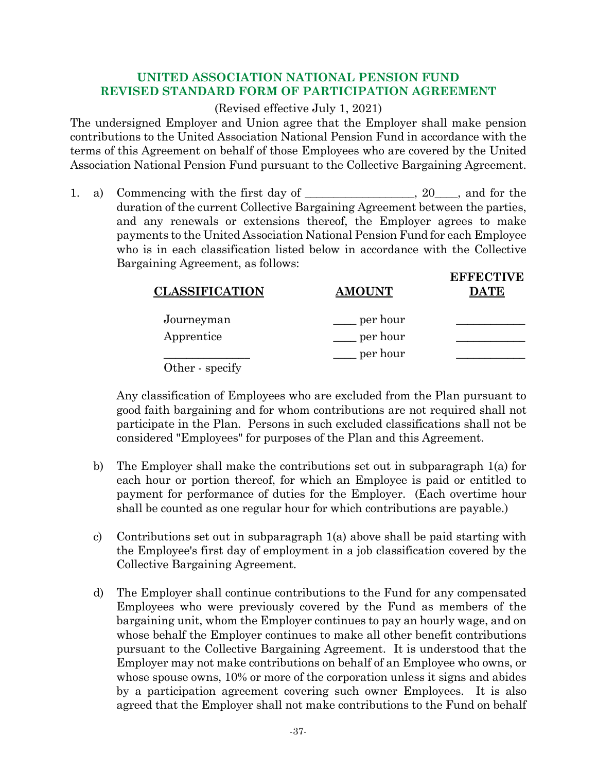#### **UNITED ASSOCIATION NATIONAL PENSION FUND REVISED STANDARD FORM OF PARTICIPATION AGREEMENT**

#### (Revised effective July 1, 2021)

The undersigned Employer and Union agree that the Employer shall make pension contributions to the United Association National Pension Fund in accordance with the terms of this Agreement on behalf of those Employees who are covered by the United Association National Pension Fund pursuant to the Collective Bargaining Agreement.

1. a) Commencing with the first day of \_\_\_\_\_\_\_\_\_\_\_\_\_\_, 20\_\_\_, and for the duration of the current Collective Bargaining Agreement between the parties, and any renewals or extensions thereof, the Employer agrees to make payments to the United Association National Pension Fund for each Employee who is in each classification listed below in accordance with the Collective Bargaining Agreement, as follows:

| <b>CLASSIFICATION</b> | <b>AMOUNT</b> | <b>EFFECTIVE</b><br>DATE |
|-----------------------|---------------|--------------------------|
| Journeyman            | per hour      |                          |
| Apprentice            | per hour      |                          |
|                       | per hour      |                          |
| Other - specify       |               |                          |

Any classification of Employees who are excluded from the Plan pursuant to good faith bargaining and for whom contributions are not required shall not participate in the Plan. Persons in such excluded classifications shall not be considered "Employees" for purposes of the Plan and this Agreement.

- b) The Employer shall make the contributions set out in subparagraph 1(a) for each hour or portion thereof, for which an Employee is paid or entitled to payment for performance of duties for the Employer. (Each overtime hour shall be counted as one regular hour for which contributions are payable.)
- c) Contributions set out in subparagraph 1(a) above shall be paid starting with the Employee's first day of employment in a job classification covered by the Collective Bargaining Agreement.
- d) The Employer shall continue contributions to the Fund for any compensated Employees who were previously covered by the Fund as members of the bargaining unit, whom the Employer continues to pay an hourly wage, and on whose behalf the Employer continues to make all other benefit contributions pursuant to the Collective Bargaining Agreement. It is understood that the Employer may not make contributions on behalf of an Employee who owns, or whose spouse owns, 10% or more of the corporation unless it signs and abides by a participation agreement covering such owner Employees. It is also agreed that the Employer shall not make contributions to the Fund on behalf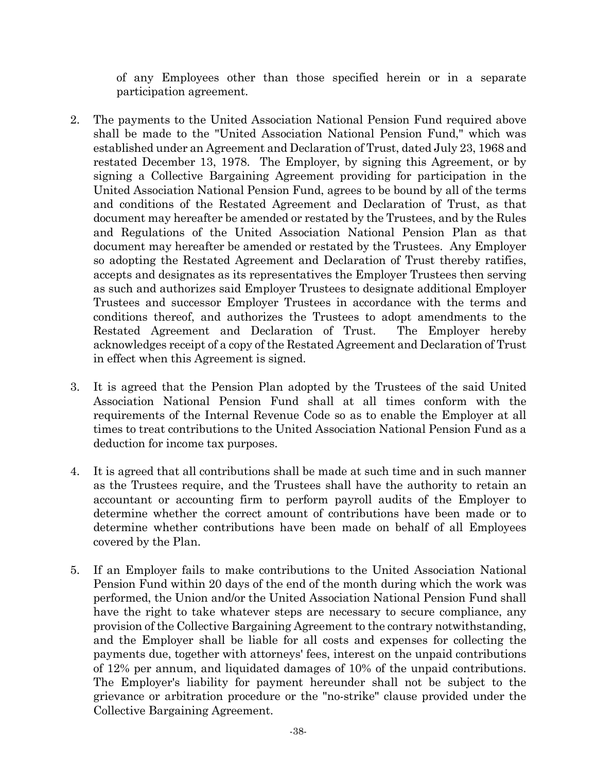of any Employees other than those specified herein or in a separate participation agreement.

- 2. The payments to the United Association National Pension Fund required above shall be made to the "United Association National Pension Fund," which was established under an Agreement and Declaration of Trust, dated July 23, 1968 and restated December 13, 1978. The Employer, by signing this Agreement, or by signing a Collective Bargaining Agreement providing for participation in the United Association National Pension Fund, agrees to be bound by all of the terms and conditions of the Restated Agreement and Declaration of Trust, as that document may hereafter be amended or restated by the Trustees, and by the Rules and Regulations of the United Association National Pension Plan as that document may hereafter be amended or restated by the Trustees. Any Employer so adopting the Restated Agreement and Declaration of Trust thereby ratifies, accepts and designates as its representatives the Employer Trustees then serving as such and authorizes said Employer Trustees to designate additional Employer Trustees and successor Employer Trustees in accordance with the terms and conditions thereof, and authorizes the Trustees to adopt amendments to the Restated Agreement and Declaration of Trust. The Employer hereby acknowledges receipt of a copy of the Restated Agreement and Declaration of Trust in effect when this Agreement is signed.
- 3. It is agreed that the Pension Plan adopted by the Trustees of the said United Association National Pension Fund shall at all times conform with the requirements of the Internal Revenue Code so as to enable the Employer at all times to treat contributions to the United Association National Pension Fund as a deduction for income tax purposes.
- 4. It is agreed that all contributions shall be made at such time and in such manner as the Trustees require, and the Trustees shall have the authority to retain an accountant or accounting firm to perform payroll audits of the Employer to determine whether the correct amount of contributions have been made or to determine whether contributions have been made on behalf of all Employees covered by the Plan.
- 5. If an Employer fails to make contributions to the United Association National Pension Fund within 20 days of the end of the month during which the work was performed, the Union and/or the United Association National Pension Fund shall have the right to take whatever steps are necessary to secure compliance, any provision of the Collective Bargaining Agreement to the contrary notwithstanding, and the Employer shall be liable for all costs and expenses for collecting the payments due, together with attorneys' fees, interest on the unpaid contributions of 12% per annum, and liquidated damages of 10% of the unpaid contributions. The Employer's liability for payment hereunder shall not be subject to the grievance or arbitration procedure or the "no-strike" clause provided under the Collective Bargaining Agreement.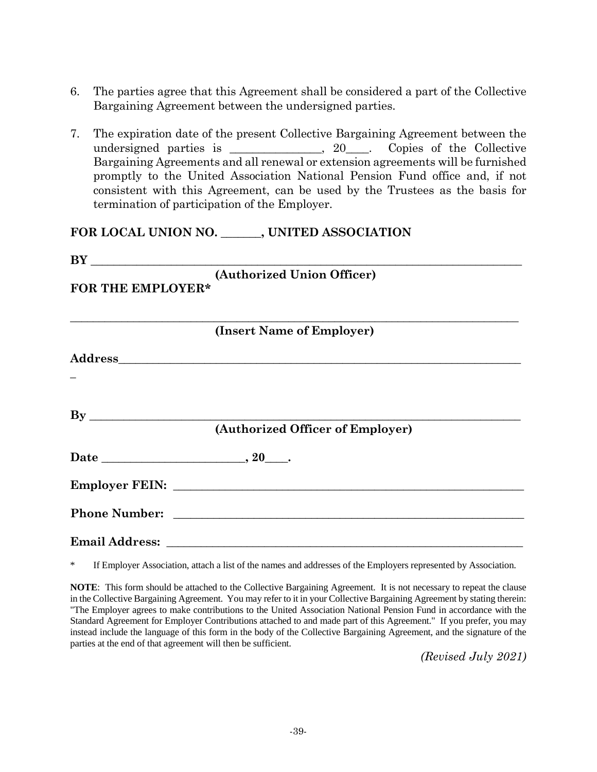- 6. The parties agree that this Agreement shall be considered a part of the Collective Bargaining Agreement between the undersigned parties.
- 7. The expiration date of the present Collective Bargaining Agreement between the undersigned parties is \_\_\_\_\_\_\_\_\_\_\_, 20\_\_\_. Copies of the Collective Bargaining Agreements and all renewal or extension agreements will be furnished promptly to the United Association National Pension Fund office and, if not consistent with this Agreement, can be used by the Trustees as the basis for termination of participation of the Employer.

#### **FOR LOCAL UNION NO. \_\_\_\_\_\_\_, UNITED ASSOCIATION**

| FOR THE EMPLOYER*       | (Authorized Union Officer)       |
|-------------------------|----------------------------------|
|                         | (Insert Name of Employer)        |
|                         |                                  |
| $\mathbf{B} \mathbf{y}$ | (Authorized Officer of Employer) |
| Date 20.                |                                  |
|                         |                                  |
|                         |                                  |
|                         |                                  |

\* If Employer Association, attach a list of the names and addresses of the Employers represented by Association.

**NOTE**: This form should be attached to the Collective Bargaining Agreement. It is not necessary to repeat the clause in the Collective Bargaining Agreement. You may refer to it in your Collective Bargaining Agreement by stating therein: "The Employer agrees to make contributions to the United Association National Pension Fund in accordance with the Standard Agreement for Employer Contributions attached to and made part of this Agreement." If you prefer, you may instead include the language of this form in the body of the Collective Bargaining Agreement, and the signature of the parties at the end of that agreement will then be sufficient.

*(Revised July 2021)*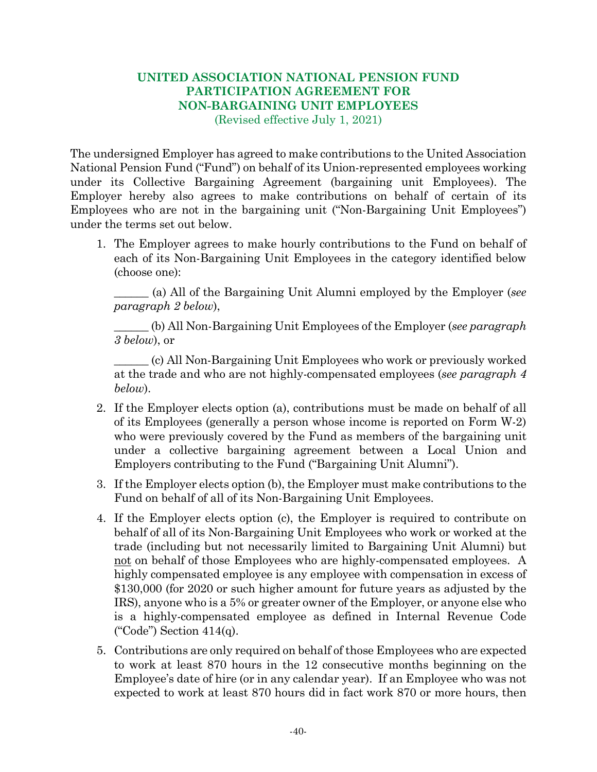# **UNITED ASSOCIATION NATIONAL PENSION FUND PARTICIPATION AGREEMENT FOR NON-BARGAINING UNIT EMPLOYEES**

(Revised effective July 1, 2021)

The undersigned Employer has agreed to make contributions to the United Association National Pension Fund ("Fund") on behalf of its Union-represented employees working under its Collective Bargaining Agreement (bargaining unit Employees). The Employer hereby also agrees to make contributions on behalf of certain of its Employees who are not in the bargaining unit ("Non-Bargaining Unit Employees") under the terms set out below.

1. The Employer agrees to make hourly contributions to the Fund on behalf of each of its Non-Bargaining Unit Employees in the category identified below (choose one):

\_\_\_\_\_\_ (a) All of the Bargaining Unit Alumni employed by the Employer (*see paragraph 2 below*),

\_\_\_\_\_\_ (b) All Non-Bargaining Unit Employees of the Employer (*see paragraph 3 below*), or

\_\_\_\_\_\_ (c) All Non-Bargaining Unit Employees who work or previously worked at the trade and who are not highly-compensated employees (*see paragraph 4 below*).

- 2. If the Employer elects option (a), contributions must be made on behalf of all of its Employees (generally a person whose income is reported on Form W-2) who were previously covered by the Fund as members of the bargaining unit under a collective bargaining agreement between a Local Union and Employers contributing to the Fund ("Bargaining Unit Alumni").
- 3. If the Employer elects option (b), the Employer must make contributions to the Fund on behalf of all of its Non-Bargaining Unit Employees.
- 4. If the Employer elects option (c), the Employer is required to contribute on behalf of all of its Non-Bargaining Unit Employees who work or worked at the trade (including but not necessarily limited to Bargaining Unit Alumni) but not on behalf of those Employees who are highly-compensated employees. A highly compensated employee is any employee with compensation in excess of \$130,000 (for 2020 or such higher amount for future years as adjusted by the IRS), anyone who is a 5% or greater owner of the Employer, or anyone else who is a highly-compensated employee as defined in Internal Revenue Code ("Code") Section  $414(q)$ .
- 5. Contributions are only required on behalf of those Employees who are expected to work at least 870 hours in the 12 consecutive months beginning on the Employee's date of hire (or in any calendar year). If an Employee who was not expected to work at least 870 hours did in fact work 870 or more hours, then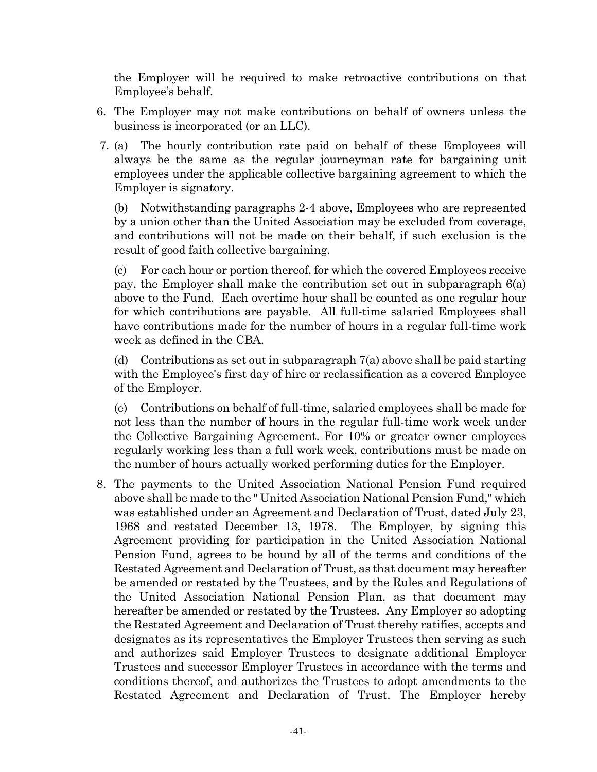the Employer will be required to make retroactive contributions on that Employee's behalf.

- 6. The Employer may not make contributions on behalf of owners unless the business is incorporated (or an LLC).
- 7. (a) The hourly contribution rate paid on behalf of these Employees will always be the same as the regular journeyman rate for bargaining unit employees under the applicable collective bargaining agreement to which the Employer is signatory.

(b) Notwithstanding paragraphs 2-4 above, Employees who are represented by a union other than the United Association may be excluded from coverage, and contributions will not be made on their behalf, if such exclusion is the result of good faith collective bargaining.

(c) For each hour or portion thereof, for which the covered Employees receive pay, the Employer shall make the contribution set out in subparagraph 6(a) above to the Fund. Each overtime hour shall be counted as one regular hour for which contributions are payable. All full-time salaried Employees shall have contributions made for the number of hours in a regular full-time work week as defined in the CBA.

(d) Contributions as set out in subparagraph  $7(a)$  above shall be paid starting with the Employee's first day of hire or reclassification as a covered Employee of the Employer.

(e) Contributions on behalf of full-time, salaried employees shall be made for not less than the number of hours in the regular full-time work week under the Collective Bargaining Agreement. For 10% or greater owner employees regularly working less than a full work week, contributions must be made on the number of hours actually worked performing duties for the Employer.

8. The payments to the United Association National Pension Fund required above shall be made to the " United Association National Pension Fund," which was established under an Agreement and Declaration of Trust, dated July 23, 1968 and restated December 13, 1978. The Employer, by signing this Agreement providing for participation in the United Association National Pension Fund, agrees to be bound by all of the terms and conditions of the Restated Agreement and Declaration of Trust, as that document may hereafter be amended or restated by the Trustees, and by the Rules and Regulations of the United Association National Pension Plan, as that document may hereafter be amended or restated by the Trustees. Any Employer so adopting the Restated Agreement and Declaration of Trust thereby ratifies, accepts and designates as its representatives the Employer Trustees then serving as such and authorizes said Employer Trustees to designate additional Employer Trustees and successor Employer Trustees in accordance with the terms and conditions thereof, and authorizes the Trustees to adopt amendments to the Restated Agreement and Declaration of Trust. The Employer hereby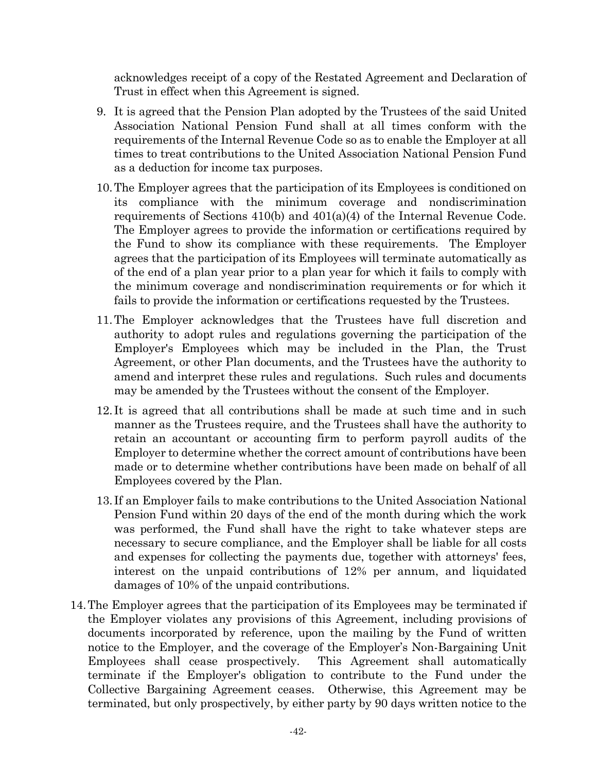acknowledges receipt of a copy of the Restated Agreement and Declaration of Trust in effect when this Agreement is signed.

- 9. It is agreed that the Pension Plan adopted by the Trustees of the said United Association National Pension Fund shall at all times conform with the requirements of the Internal Revenue Code so as to enable the Employer at all times to treat contributions to the United Association National Pension Fund as a deduction for income tax purposes.
- 10.The Employer agrees that the participation of its Employees is conditioned on its compliance with the minimum coverage and nondiscrimination requirements of Sections 410(b) and 401(a)(4) of the Internal Revenue Code. The Employer agrees to provide the information or certifications required by the Fund to show its compliance with these requirements. The Employer agrees that the participation of its Employees will terminate automatically as of the end of a plan year prior to a plan year for which it fails to comply with the minimum coverage and nondiscrimination requirements or for which it fails to provide the information or certifications requested by the Trustees.
- 11.The Employer acknowledges that the Trustees have full discretion and authority to adopt rules and regulations governing the participation of the Employer's Employees which may be included in the Plan, the Trust Agreement, or other Plan documents, and the Trustees have the authority to amend and interpret these rules and regulations. Such rules and documents may be amended by the Trustees without the consent of the Employer.
- 12. It is agreed that all contributions shall be made at such time and in such manner as the Trustees require, and the Trustees shall have the authority to retain an accountant or accounting firm to perform payroll audits of the Employer to determine whether the correct amount of contributions have been made or to determine whether contributions have been made on behalf of all Employees covered by the Plan.
- 13. If an Employer fails to make contributions to the United Association National Pension Fund within 20 days of the end of the month during which the work was performed, the Fund shall have the right to take whatever steps are necessary to secure compliance, and the Employer shall be liable for all costs and expenses for collecting the payments due, together with attorneys' fees, interest on the unpaid contributions of 12% per annum, and liquidated damages of 10% of the unpaid contributions.
- 14.The Employer agrees that the participation of its Employees may be terminated if the Employer violates any provisions of this Agreement, including provisions of documents incorporated by reference, upon the mailing by the Fund of written notice to the Employer, and the coverage of the Employer's Non-Bargaining Unit Employees shall cease prospectively. This Agreement shall automatically terminate if the Employer's obligation to contribute to the Fund under the Collective Bargaining Agreement ceases. Otherwise, this Agreement may be terminated, but only prospectively, by either party by 90 days written notice to the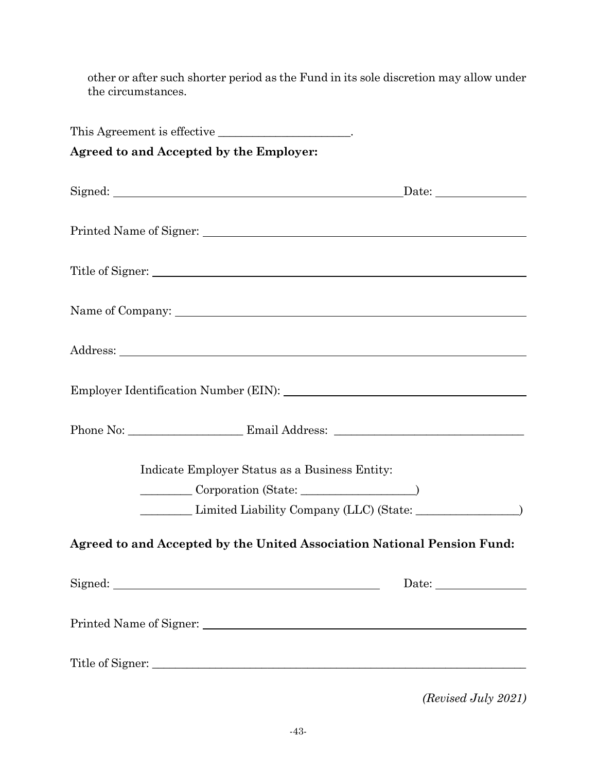other or after such shorter period as the Fund in its sole discretion may allow under the circumstances.

| This Agreement is effective _____________________.                      |               |
|-------------------------------------------------------------------------|---------------|
| Agreed to and Accepted by the Employer:                                 |               |
|                                                                         | $\frac{Date:$ |
|                                                                         |               |
|                                                                         |               |
|                                                                         |               |
|                                                                         |               |
|                                                                         |               |
|                                                                         |               |
| Indicate Employer Status as a Business Entity:                          |               |
| Corporation (State: 1997)                                               |               |
|                                                                         |               |
| Agreed to and Accepted by the United Association National Pension Fund: |               |
|                                                                         | Date: $\_\_$  |
|                                                                         |               |
|                                                                         |               |

*(Revised July 2021)*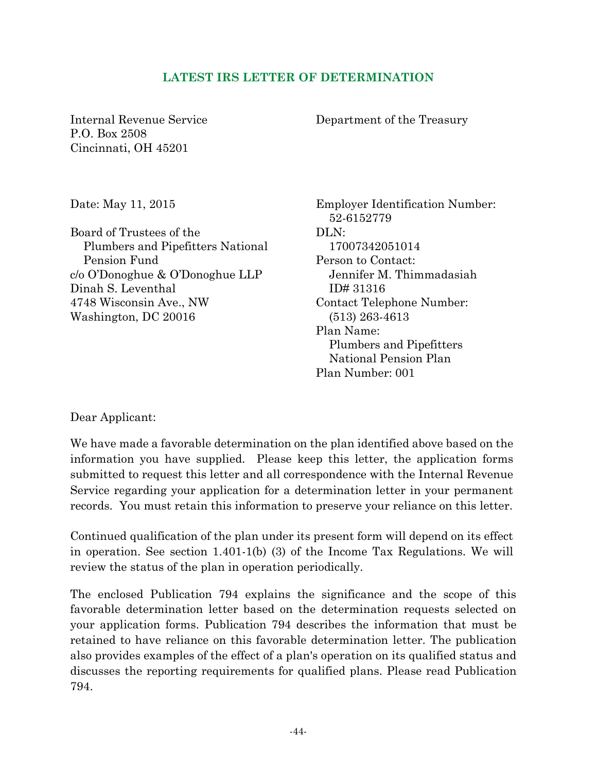### **LATEST IRS LETTER OF DETERMINATION**

Internal Revenue Service P.O. Box 2508 Cincinnati, OH 45201

Department of the Treasury

Date: May 11, 2015

Board of Trustees of the Plumbers and Pipefitters National Pension Fund c/o O'Donoghue & O'Donoghue LLP Dinah S. Leventhal 4748 Wisconsin Ave., NW Washington, DC 20016

Employer Identification Number: 52-6152779 DLN: 17007342051014 Person to Contact: Jennifer M. Thimmadasiah ID# 31316 Contact Telephone Number: (513) 263-4613 Plan Name: Plumbers and Pipefitters National Pension Plan Plan Number: 001

Dear Applicant:

We have made a favorable determination on the plan identified above based on the information you have supplied. Please keep this letter, the application forms submitted to request this letter and all correspondence with the Internal Revenue Service regarding your application for a determination letter in your permanent records. You must retain this information to preserve your reliance on this letter.

Continued qualification of the plan under its present form will depend on its effect in operation. See section 1.401-1(b) (3) of the Income Tax Regulations. We will review the status of the plan in operation periodically.

The enclosed Publication 794 explains the significance and the scope of this favorable determination letter based on the determination requests selected on your application forms. Publication 794 describes the information that must be retained to have reliance on this favorable determination letter. The publication also provides examples of the effect of a plan's operation on its qualified status and discusses the reporting requirements for qualified plans. Please read Publication 794.